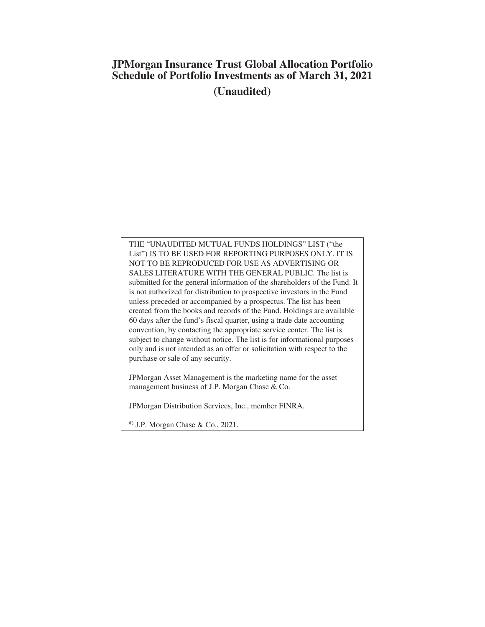# **JPMorgan Insurance Trust Global Allocation Portfolio Schedule of Portfolio Investments as of March 31, 2021 (Unaudited)**

THE "UNAUDITED MUTUAL FUNDS HOLDINGS" LIST ("the List") IS TO BE USED FOR REPORTING PURPOSES ONLY. IT IS NOT TO BE REPRODUCED FOR USE AS ADVERTISING OR SALES LITERATURE WITH THE GENERAL PUBLIC. The list is submitted for the general information of the shareholders of the Fund. It is not authorized for distribution to prospective investors in the Fund unless preceded or accompanied by a prospectus. The list has been created from the books and records of the Fund. Holdings are available 60 days after the fund's fiscal quarter, using a trade date accounting convention, by contacting the appropriate service center. The list is subject to change without notice. The list is for informational purposes only and is not intended as an offer or solicitation with respect to the purchase or sale of any security.

JPMorgan Asset Management is the marketing name for the asset management business of J.P. Morgan Chase & Co.

JPMorgan Distribution Services, Inc., member FINRA.

© J.P. Morgan Chase & Co., 2021.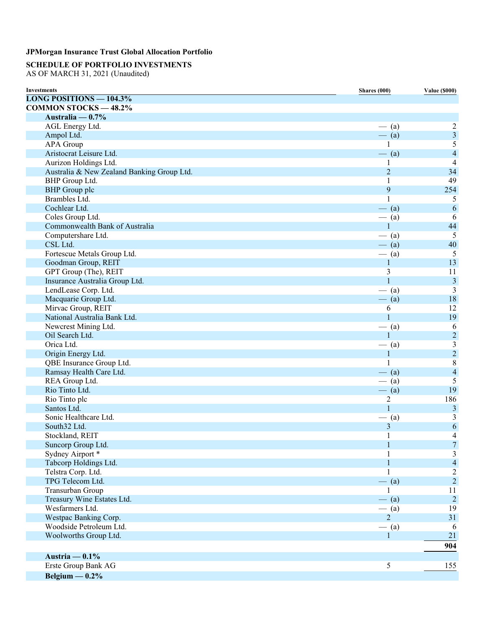# **SCHEDULE OF PORTFOLIO INVESTMENTS**

AS OF MARCH 31, 2021 (Unaudited)

| <b>Investments</b>                         | Shares (000)   | <b>Value (\$000)</b>    |
|--------------------------------------------|----------------|-------------------------|
| <b>LONG POSITIONS - 104.3%</b>             |                |                         |
| <b>COMMON STOCKS - 48.2%</b>               |                |                         |
| Australia — $0.7\%$                        |                |                         |
| AGL Energy Ltd.                            | $-$ (a)        | $\overline{c}$          |
| Ampol Ltd.                                 | $-$ (a)        | $\overline{3}$          |
| APA Group                                  | 1              | $\overline{5}$          |
| Aristocrat Leisure Ltd.                    | $-$ (a)        | $\overline{4}$          |
| Aurizon Holdings Ltd.                      | 1              | $\overline{4}$          |
| Australia & New Zealand Banking Group Ltd. | $\overline{2}$ | 34                      |
| BHP Group Ltd.                             | 1              | 49                      |
| <b>BHP</b> Group plc                       | 9              | 254                     |
| Brambles Ltd.                              | 1              | 5                       |
| Cochlear Ltd.                              | $-$ (a)        | 6                       |
| Coles Group Ltd.                           | $-$ (a)        | 6                       |
| Commonwealth Bank of Australia             | $\mathbf{1}$   | 44                      |
| Computershare Ltd.                         | $-$ (a)        | 5                       |
| CSL Ltd.                                   | $-$ (a)        | 40                      |
| Fortescue Metals Group Ltd.                | $-$ (a)        | $\overline{5}$          |
| Goodman Group, REIT                        | $\mathbf{1}$   | 13                      |
| GPT Group (The), REIT                      | 3              | 11                      |
|                                            | $\mathbf{1}$   | $\mathfrak{Z}$          |
| Insurance Australia Group Ltd.             |                | $\overline{3}$          |
| LendLease Corp. Ltd.                       | $-$ (a)        |                         |
| Macquarie Group Ltd.                       | $-$ (a)        | 18                      |
| Mirvac Group, REIT                         | 6              | 12                      |
| National Australia Bank Ltd.               | $\mathbf{1}$   | 19                      |
| Newcrest Mining Ltd.                       | $-$ (a)        | 6                       |
| Oil Search Ltd.                            | $\mathbf{1}$   | $\overline{2}$          |
| Orica Ltd.                                 | $-$ (a)        | $\overline{3}$          |
| Origin Energy Ltd.                         | $\mathbf{1}$   | $\overline{2}$          |
| QBE Insurance Group Ltd.                   | $\mathbf{1}$   | $\,8\,$                 |
| Ramsay Health Care Ltd.                    | $-$ (a)        | $\overline{4}$          |
| REA Group Ltd.                             | $-$ (a)        | 5                       |
| Rio Tinto Ltd.                             | $-$ (a)        | 19                      |
| Rio Tinto plc                              | $\overline{2}$ | 186                     |
| Santos Ltd.                                | $\mathbf{1}$   | $\mathfrak{Z}$          |
| Sonic Healthcare Ltd.                      | $-$ (a)        | 3                       |
| South32 Ltd.                               | $\mathfrak{Z}$ | 6                       |
| Stockland, REIT                            | 1              | 4                       |
| Suncorp Group Ltd.                         | 1              | 7                       |
| Sydney Airport *                           |                | 3                       |
| Tabcorp Holdings Ltd.                      | $\mathbf{1}$   | $\overline{\mathbf{4}}$ |
| Telstra Corp. Ltd.                         |                | $\overline{c}$          |
| TPG Telecom Ltd.                           | $-$ (a)        | $\overline{c}$          |
| Transurban Group                           | 1              | 11                      |
| Treasury Wine Estates Ltd.                 | $-$ (a)        | $\overline{2}$          |
| Wesfarmers Ltd.                            | $-$ (a)        | 19                      |
| Westpac Banking Corp.                      | $2^{1}$        | 31                      |
| Woodside Petroleum Ltd.                    | $-$ (a)        | 6                       |
| Woolworths Group Ltd.                      | 1              | 21                      |
|                                            |                |                         |
|                                            |                | 904                     |
| Austria $-0.1\%$                           |                |                         |
| Erste Group Bank AG                        | 5              | 155                     |
| Belgium $-0.2\%$                           |                |                         |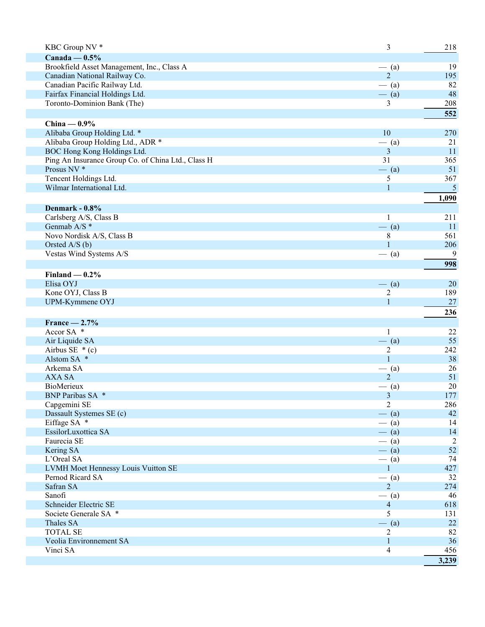| KBC Group NV *                                     | 3                       | 218            |
|----------------------------------------------------|-------------------------|----------------|
| Canada — $0.5\%$                                   |                         |                |
| Brookfield Asset Management, Inc., Class A         | $-$ (a)                 | 19             |
| Canadian National Railway Co.                      | $\overline{2}$          | 195            |
| Canadian Pacific Railway Ltd.                      | $-$ (a)                 | 82             |
| Fairfax Financial Holdings Ltd.                    | $-$ (a)                 | 48             |
| Toronto-Dominion Bank (The)                        | 3                       | 208            |
|                                                    |                         | 552            |
|                                                    |                         |                |
| China $-0.9%$                                      |                         |                |
| Alibaba Group Holding Ltd. *                       | 10                      | 270            |
| Alibaba Group Holding Ltd., ADR *                  | $-$ (a)                 | 21             |
| BOC Hong Kong Holdings Ltd.                        | 3                       | 11             |
| Ping An Insurance Group Co. of China Ltd., Class H | 31                      | 365            |
| Prosus NV <sup>*</sup>                             | $-$ (a)                 | 51             |
| Tencent Holdings Ltd.                              | 5                       | 367            |
| Wilmar International Ltd.                          | $\mathbf{1}$            | $\overline{5}$ |
|                                                    |                         | 1,090          |
| Denmark - 0.8%                                     |                         |                |
| Carlsberg A/S, Class B                             | 1                       | 211            |
| Genmab A/S *                                       | $-$ (a)                 | 11             |
| Novo Nordisk A/S, Class B                          | 8                       | 561            |
| Orsted A/S (b)                                     | $\mathbf{1}$            | 206            |
| Vestas Wind Systems A/S                            | $-$ (a)                 | 9              |
|                                                    |                         | 998            |
|                                                    |                         |                |
| Finland $-0.2%$                                    |                         |                |
| Elisa OYJ                                          | $-$ (a)                 | 20             |
| Kone OYJ, Class B                                  | 2                       | 189            |
| UPM-Kymmene OYJ                                    | $\mathbf{1}$            | 27             |
|                                                    |                         | 236            |
| France $-2.7%$                                     |                         |                |
| Accor SA *                                         | 1                       | 22             |
| Air Liquide SA                                     | $-$ (a)                 | 55             |
| Airbus SE $*(c)$                                   | 2                       | 242            |
| Alstom SA *                                        | $\mathbf{1}$            | 38             |
| Arkema SA                                          | $-$ (a)                 | 26             |
| <b>AXA SA</b>                                      | $\overline{2}$          | 51             |
| <b>BioMerieux</b>                                  | $-$ (a)                 | 20             |
| BNP Paribas SA *                                   | $\overline{\mathbf{3}}$ | 177            |
| Capgemini SE                                       | $\overline{2}$          | 286            |
| Dassault Systemes SE (c)                           | $-$ (a)                 | 42             |
| Eiffage SA *                                       | $-$ (a)                 | 14             |
| EssilorLuxottica SA                                | $-$ (a)                 | 14             |
| Faurecia SE                                        | $-$ (a)                 | 2              |
| Kering SA                                          | $-$ (a)                 | 52             |
| L'Oreal SA                                         | $-$ (a)                 | 74             |
| LVMH Moet Hennessy Louis Vuitton SE                | $\mathbf{1}$            | 427            |
| Pernod Ricard SA                                   | $-$ (a)                 | 32             |
| Safran SA                                          | $\overline{2}$          | 274            |
| Sanofi                                             | $-$ (a)                 | 46             |
| Schneider Electric SE                              | $\overline{4}$          | 618            |
| Societe Generale SA *                              | 5                       | 131            |
| Thales SA                                          |                         | $22\,$         |
| <b>TOTAL SE</b>                                    | $-$ (a)                 | 82             |
| Veolia Environnement SA                            | 2<br>1                  | 36             |
|                                                    |                         |                |
| Vinci SA                                           | 4                       | 456            |
|                                                    |                         | 3,239          |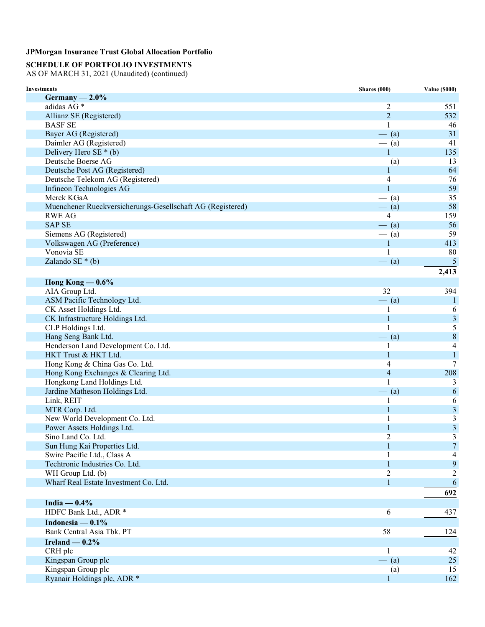# **SCHEDULE OF PORTFOLIO INVESTMENTS**

| <b>Investments</b>                                         | <b>Shares</b> (000) | <b>Value (\$000)</b>    |
|------------------------------------------------------------|---------------------|-------------------------|
| Germany $-2.0\%$                                           |                     |                         |
| adidas AG <sup>*</sup>                                     | 2                   | 551                     |
| Allianz SE (Registered)                                    | $\overline{2}$      | 532                     |
| <b>BASF SE</b>                                             | 1                   | 46                      |
| Bayer AG (Registered)                                      | $-$ (a)             | 31                      |
| Daimler AG (Registered)                                    | $-$ (a)             | 41                      |
| Delivery Hero SE $*(b)$                                    | $\mathbf{1}$        | 135                     |
| Deutsche Boerse AG                                         | $-$ (a)             | 13                      |
| Deutsche Post AG (Registered)                              | 1                   | 64                      |
| Deutsche Telekom AG (Registered)                           | 4                   | 76                      |
| Infineon Technologies AG                                   | $\mathbf{1}$        | 59                      |
| Merck KGaA                                                 | $-$ (a)             | 35                      |
| Muenchener Rueckversicherungs-Gesellschaft AG (Registered) | $-$ (a)             | 58                      |
| <b>RWE AG</b>                                              | $\overline{4}$      | 159                     |
| <b>SAP SE</b>                                              | $-$ (a)             | 56                      |
| Siemens AG (Registered)                                    | $-$ (a)             | 59                      |
| Volkswagen AG (Preference)                                 | 1                   | 413                     |
| Vonovia SE                                                 | $\mathbf{1}$        | 80                      |
| Zalando SE $*(b)$                                          | $-$ (a)             | 5                       |
|                                                            |                     | 2,413                   |
|                                                            |                     |                         |
| Hong Kong $-0.6\%$                                         |                     |                         |
| AIA Group Ltd.                                             | 32                  | 394                     |
| ASM Pacific Technology Ltd.                                | $-$ (a)             | 1                       |
| CK Asset Holdings Ltd.                                     |                     | 6                       |
| CK Infrastructure Holdings Ltd.                            | $\mathbf{1}$        | $\mathfrak{Z}$          |
| CLP Holdings Ltd.                                          | $\mathbf{1}$        | 5                       |
| Hang Seng Bank Ltd.                                        | $-$ (a)             | 8                       |
| Henderson Land Development Co. Ltd.                        | 1                   | $\overline{4}$          |
| HKT Trust & HKT Ltd.                                       | $\mathbf{1}$        | $\mathbf{1}$            |
| Hong Kong & China Gas Co. Ltd.                             | 4                   | $\overline{7}$          |
| Hong Kong Exchanges & Clearing Ltd.                        | $\overline{4}$      | 208                     |
| Hongkong Land Holdings Ltd.                                | 1                   | 3                       |
| Jardine Matheson Holdings Ltd.                             | $-$ (a)             | 6                       |
| Link, REIT                                                 | 1                   | 6                       |
| MTR Corp. Ltd.                                             | 1                   | 3                       |
| New World Development Co. Ltd.                             | 1                   | $\overline{\mathbf{3}}$ |
| Power Assets Holdings Ltd.                                 | $\mathbf{1}$        | 3                       |
| Sino Land Co. Ltd.                                         | $\overline{2}$      | 3                       |
| Sun Hung Kai Properties Ltd.                               | $\mathbf{1}$        | $\overline{7}$          |
| Swire Pacific Ltd., Class A                                | 1                   | 4                       |
| Techtronic Industries Co. Ltd.                             | 1                   | 9                       |
| WH Group Ltd. (b)                                          | $\overline{2}$      | 2                       |
| Wharf Real Estate Investment Co. Ltd.                      | $\mathbf{1}$        | 6                       |
|                                                            |                     | 692                     |
| India $-0.4\%$                                             |                     |                         |
| HDFC Bank Ltd., ADR *                                      | 6                   | 437                     |
| Indonesia — $0.1\%$                                        |                     |                         |
| Bank Central Asia Tbk. PT                                  | 58                  |                         |
|                                                            |                     | 124                     |
| Ireland $-0.2%$                                            |                     |                         |
| CRH plc                                                    | 1                   | 42                      |
| Kingspan Group plc                                         | $-$ (a)             | 25                      |
| Kingspan Group plc                                         | $-$ (a)             | 15                      |
| Ryanair Holdings plc, ADR *                                | $\mathbf{1}$        | 162                     |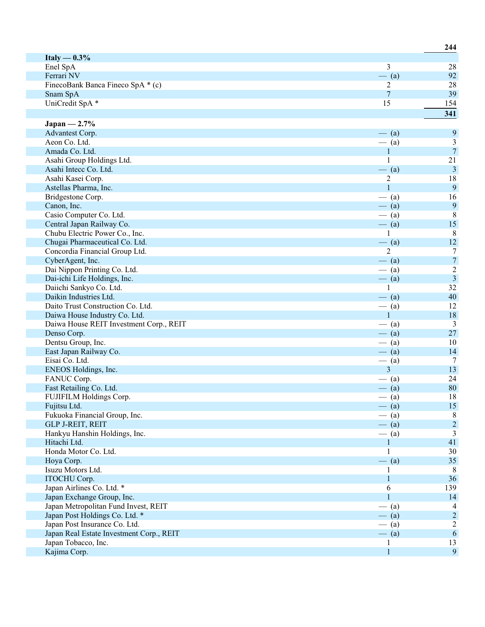| Italy $-0.3\%$                           |                |                         |
|------------------------------------------|----------------|-------------------------|
| Enel SpA                                 | 3              | 28                      |
| Ferrari NV                               | $-$ (a)        | 92                      |
| FinecoBank Banca Fineco SpA * (c)        | 2              | 28                      |
| Snam SpA                                 | $\overline{7}$ | 39                      |
| UniCredit SpA *                          | 15             | 154                     |
|                                          |                | 341                     |
| Japan $-2.7%$                            |                |                         |
| Advantest Corp.                          | $-$ (a)        | 9                       |
| Aeon Co. Ltd.                            | $-$ (a)        | 3                       |
| Amada Co. Ltd.                           | $\mathbf{1}$   | $\overline{7}$          |
| Asahi Group Holdings Ltd.                | 1              | 21                      |
| Asahi Intecc Co. Ltd.                    | $-$ (a)        | $\overline{\mathbf{3}}$ |
| Asahi Kasei Corp.                        | 2              | 18                      |
| Astellas Pharma, Inc.                    | $\mathbf{1}$   | $\overline{9}$          |
| Bridgestone Corp.                        | $-$ (a)        | 16                      |
| Canon, Inc.                              | $-$ (a)        | 9                       |
| Casio Computer Co. Ltd.                  | $-$ (a)        | $\,8\,$                 |
| Central Japan Railway Co.                | $-$ (a)        | 15                      |
| Chubu Electric Power Co., Inc.           | 1              | 8                       |
| Chugai Pharmaceutical Co. Ltd.           | $-$ (a)        | 12                      |
| Concordia Financial Group Ltd.           | $\overline{2}$ | $\tau$                  |
| CyberAgent, Inc.                         | $-$ (a)        | $\boldsymbol{7}$        |
| Dai Nippon Printing Co. Ltd.             | $-$ (a)        | $\sqrt{2}$              |
| Dai-ichi Life Holdings, Inc.             | $-$ (a)        | $\overline{3}$          |
| Daiichi Sankyo Co. Ltd.                  | 1              | 32                      |
| Daikin Industries Ltd.                   | $-$ (a)        | 40                      |
| Daito Trust Construction Co. Ltd.        | $-$ (a)        | 12                      |
| Daiwa House Industry Co. Ltd.            | $\mathbf{1}$   | 18                      |
| Daiwa House REIT Investment Corp., REIT  | $-$ (a)        | $\overline{3}$          |
| Denso Corp.                              | $-$ (a)        | $27\,$                  |
| Dentsu Group, Inc.                       | $-$ (a)        | 10                      |
| East Japan Railway Co.                   | $-$ (a)        | 14                      |
| Eisai Co. Ltd.                           | $-$ (a)        | 7                       |
| ENEOS Holdings, Inc.                     | $\overline{3}$ | 13                      |
| FANUC Corp.                              | $-$ (a)        | 24                      |
| Fast Retailing Co. Ltd.                  | $-$ (a)        | 80                      |
| FUJIFILM Holdings Corp.                  | $-$ (a)        | 18                      |
| Fujitsu Ltd.                             | $-$ (a)        | 15                      |
| Fukuoka Financial Group, Inc.            | $-$ (a)        | 8                       |
| <b>GLP J-REIT, REIT</b>                  | $-$ (a)        | $\mathbf 2$             |
| Hankyu Hanshin Holdings, Inc.            | $-$ (a)        | 3                       |
| Hitachi Ltd.                             | $\mathbf{1}$   | 41                      |
| Honda Motor Co. Ltd.                     | 1              | 30                      |
| Hoya Corp.                               | $-$ (a)        | 35                      |
| Isuzu Motors Ltd.                        | 1              | 8                       |
| ITOCHU Corp.                             | 1              | 36                      |
| Japan Airlines Co. Ltd. *                | 6              | 139                     |
| Japan Exchange Group, Inc.               |                | 14                      |
| Japan Metropolitan Fund Invest, REIT     | $-$ (a)        | 4                       |
| Japan Post Holdings Co. Ltd. *           | $-$ (a)        | $\overline{2}$          |
| Japan Post Insurance Co. Ltd.            | $-$ (a)        | $\overline{2}$          |
| Japan Real Estate Investment Corp., REIT | $-$ (a)        | 6                       |
| Japan Tobacco, Inc.                      | 1              | 13                      |
| Kajima Corp.                             | $\mathbf{1}$   | $\overline{9}$          |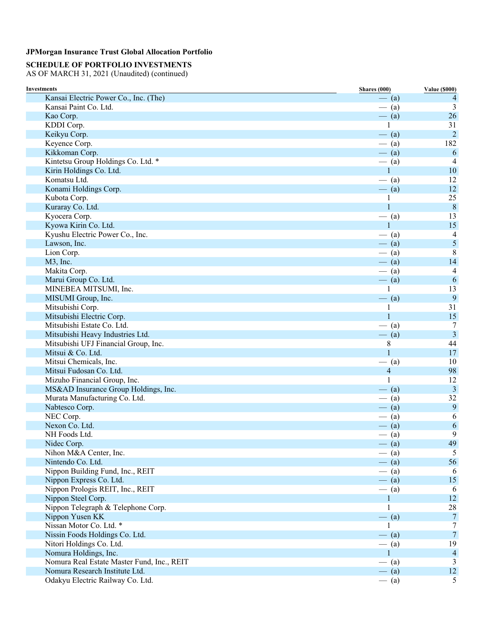# **SCHEDULE OF PORTFOLIO INVESTMENTS**

| <b>Investments</b>                         | <b>Shares (000)</b> | <b>Value (\$000)</b> |
|--------------------------------------------|---------------------|----------------------|
| Kansai Electric Power Co., Inc. (The)      | $-$ (a)             | 4                    |
| Kansai Paint Co. Ltd.                      | $-$ (a)             | 3                    |
| Kao Corp.                                  | $-$ (a)             | 26                   |
| KDDI Corp.                                 | $\mathbf{1}$        | 31                   |
| Keikyu Corp.                               | $-$ (a)             | $\overline{2}$       |
| Keyence Corp.                              | $-$ (a)             | 182                  |
| Kikkoman Corp.                             | $-$ (a)             | 6                    |
| Kintetsu Group Holdings Co. Ltd. *         | $-$ (a)             | 4                    |
| Kirin Holdings Co. Ltd.                    | $\mathbf{1}$        | 10                   |
| Komatsu Ltd.                               | $-$ (a)             | 12                   |
| Konami Holdings Corp.                      | $-$ (a)             | 12                   |
| Kubota Corp.                               | 1                   | 25                   |
| Kuraray Co. Ltd.                           | $\mathbf{1}$        | 8                    |
| Kyocera Corp.                              | $-$ (a)             | 13                   |
| Kyowa Kirin Co. Ltd.                       | $\mathbf{1}$        | 15                   |
| Kyushu Electric Power Co., Inc.            | $-$ (a)             | $\overline{4}$       |
| Lawson, Inc.                               | $-$ (a)             | $\sqrt{5}$           |
| Lion Corp.                                 | $-$ (a)             | $8\phantom{1}$       |
| M3, Inc.                                   | $-$ (a)             | 14                   |
| Makita Corp.                               | $-$ (a)             | 4                    |
| Marui Group Co. Ltd.                       | $-$ (a)             | $\sqrt{6}$           |
| MINEBEA MITSUMI, Inc.                      | 1                   | 13                   |
| MISUMI Group, Inc.                         | $-$ (a)             | $\overline{9}$       |
| Mitsubishi Corp.                           | 1                   | 31                   |
| Mitsubishi Electric Corp.                  | $\mathbf{1}$        | 15                   |
| Mitsubishi Estate Co. Ltd.                 | $-$ (a)             | 7                    |
| Mitsubishi Heavy Industries Ltd.           | $-$ (a)             | $\overline{3}$       |
| Mitsubishi UFJ Financial Group, Inc.       | 8                   | 44                   |
| Mitsui & Co. Ltd.                          | $\mathbf{1}$        | 17                   |
| Mitsui Chemicals, Inc.                     | $-$ (a)             | 10                   |
| Mitsui Fudosan Co. Ltd.                    | $\overline{4}$      | 98                   |
| Mizuho Financial Group, Inc.               | $\mathbf{1}$        | 12                   |
| MS&AD Insurance Group Holdings, Inc.       | $-$ (a)             | $\overline{3}$       |
| Murata Manufacturing Co. Ltd.              | $-$ (a)             | 32                   |
| Nabtesco Corp.                             | $-$ (a)             | $\overline{9}$       |
| NEC Corp.                                  |                     |                      |
| Nexon Co. Ltd.                             | $-$ (a)             | 6                    |
| NH Foods Ltd.                              | $-$ (a)             | 6                    |
|                                            | $-$ (a)             | 9                    |
| Nidec Corp.                                | $-$ (a)             | 49                   |
| Nihon M&A Center, Inc.                     | $-$ (a)             | 5                    |
| Nintendo Co. Ltd.                          | $-$ (a)             | 56                   |
| Nippon Building Fund, Inc., REIT           | $-$ (a)             | 6                    |
| Nippon Express Co. Ltd.                    | $-$ (a)             | 15                   |
| Nippon Prologis REIT, Inc., REIT           | $-$ (a)             | 6                    |
| Nippon Steel Corp.                         | $\mathbf{1}$        | 12                   |
| Nippon Telegraph & Telephone Corp.         | 1                   | 28                   |
| Nippon Yusen KK                            | $-$ (a)             | $\overline{7}$       |
| Nissan Motor Co. Ltd. *                    | 1                   | 7                    |
| Nissin Foods Holdings Co. Ltd.             | $-$ (a)             | $\overline{7}$       |
| Nitori Holdings Co. Ltd.                   | $-$ (a)             | 19                   |
| Nomura Holdings, Inc.                      | $\mathbf{1}$        | $\overline{4}$       |
| Nomura Real Estate Master Fund, Inc., REIT | $-$ (a)             | 3                    |
| Nomura Research Institute Ltd.             | $-$ (a)             | 12                   |
| Odakyu Electric Railway Co. Ltd.           | $-$ (a)             | 5                    |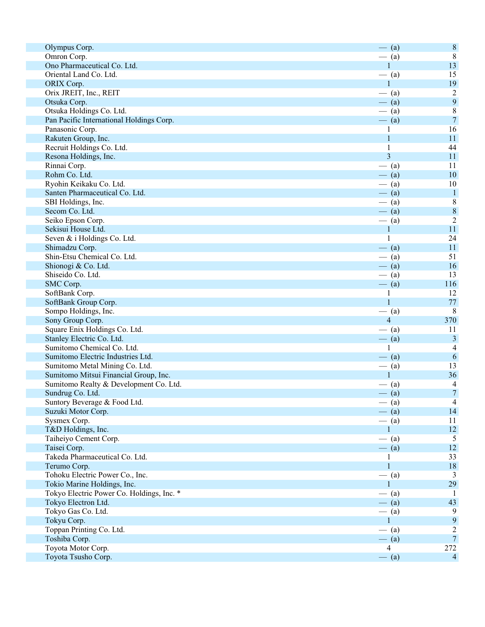| Olympus Corp.                             | $-$ (a)                   | $\,8\,$          |
|-------------------------------------------|---------------------------|------------------|
| Omron Corp.                               | $-$ (a)                   | $\,8\,$          |
| Ono Pharmaceutical Co. Ltd.               | $\mathbf{1}$              | 13               |
| Oriental Land Co. Ltd.                    | $-$ (a)                   | 15               |
| ORIX Corp.                                | $\mathbf{1}$              | 19               |
| Orix JREIT, Inc., REIT                    | $-$ (a)                   | $\sqrt{2}$       |
| Otsuka Corp.                              | $-$ (a)                   | 9                |
| Otsuka Holdings Co. Ltd.                  | $-$ (a)                   | $\,$ $\,$        |
| Pan Pacific International Holdings Corp.  | $-$ (a)                   | $\overline{7}$   |
| Panasonic Corp.                           | 1                         | 16               |
| Rakuten Group, Inc.                       | 1                         | 11               |
| Recruit Holdings Co. Ltd.                 |                           | 44               |
| Resona Holdings, Inc.                     | $\overline{\mathbf{3}}$   | 11               |
| Rinnai Corp.                              | $-$ (a)                   | 11               |
| Rohm Co. Ltd.                             | $-$ (a)                   | 10               |
| Ryohin Keikaku Co. Ltd.                   | $-$ (a)                   | 10               |
| Santen Pharmaceutical Co. Ltd.            | $-$ (a)                   | $\mathbf{1}$     |
| SBI Holdings, Inc.                        | $-$ (a)                   | $\,8\,$          |
| Secom Co. Ltd.                            | $-$ (a)                   | $\boldsymbol{8}$ |
| Seiko Epson Corp.                         | $-$ (a)                   | $\overline{2}$   |
| Sekisui House Ltd.                        | $\mathbf{1}$              | 11               |
| Seven & i Holdings Co. Ltd.               | $\mathbf{1}$              | 24               |
| Shimadzu Corp.                            | $-$ (a)                   | 11               |
| Shin-Etsu Chemical Co. Ltd.               | $-$ (a)                   | 51               |
| Shionogi & Co. Ltd.                       | $-$ (a)                   | 16               |
| Shiseido Co. Ltd.                         | $-$ (a)                   | 13               |
| SMC Corp.                                 | $-$ (a)                   | 116              |
|                                           |                           | 12               |
| SoftBank Corp.                            | $\mathbf{1}$              |                  |
| SoftBank Group Corp.                      | $\mathbf{1}$              | 77               |
| Sompo Holdings, Inc.                      | $-$ (a)                   | 8                |
| Sony Group Corp.                          | $\overline{4}$            | 370              |
| Square Enix Holdings Co. Ltd.             | $-$ (a)                   | 11               |
| Stanley Electric Co. Ltd.                 | $-$ (a)                   | $\mathfrak{Z}$   |
| Sumitomo Chemical Co. Ltd.                | 1                         | 4                |
| Sumitomo Electric Industries Ltd.         | $-$ (a)                   | $\sqrt{6}$       |
| Sumitomo Metal Mining Co. Ltd.            | $-$ (a)                   | 13               |
| Sumitomo Mitsui Financial Group, Inc.     | $\mathbf{1}$              | 36               |
| Sumitomo Realty & Development Co. Ltd.    | $-$ (a)                   | 4                |
| Sundrug Co. Ltd.                          | $-$ (a)                   | $\boldsymbol{7}$ |
| Suntory Beverage & Food Ltd.              | $-$ (a)                   | $\overline{4}$   |
| Suzuki Motor Corp.                        | $-$ (a)                   | 14               |
| Sysmex Corp.                              | $-$ (a)                   | 11               |
| T&D Holdings, Inc.                        | 1                         | 12               |
| Taiheiyo Cement Corp.                     | $-$ (a)                   | 5                |
| Taisei Corp.                              | $-$ (a)                   | 12               |
| Takeda Pharmaceutical Co. Ltd.            | 1                         | 33               |
| Terumo Corp.                              | $\mathbf{1}$              | $18\,$           |
| Tohoku Electric Power Co., Inc.           | $-$ (a)                   | 3                |
| Tokio Marine Holdings, Inc.               | $\mathbf{1}$              | 29               |
| Tokyo Electric Power Co. Holdings, Inc. * | $-$ (a)                   | - 1              |
| Tokyo Electron Ltd.                       | $-$ (a)                   | 43               |
| Tokyo Gas Co. Ltd.                        | $-$ (a)                   | 9                |
| Tokyu Corp.                               | 1                         | 9                |
| Toppan Printing Co. Ltd.                  | $-$ (a)                   | $\overline{c}$   |
| Toshiba Corp.                             |                           | $\overline{7}$   |
| Toyota Motor Corp.                        | $-$ (a)<br>$\overline{4}$ | 272              |
|                                           |                           | $\overline{4}$   |
| Toyota Tsusho Corp.                       | $-$ (a)                   |                  |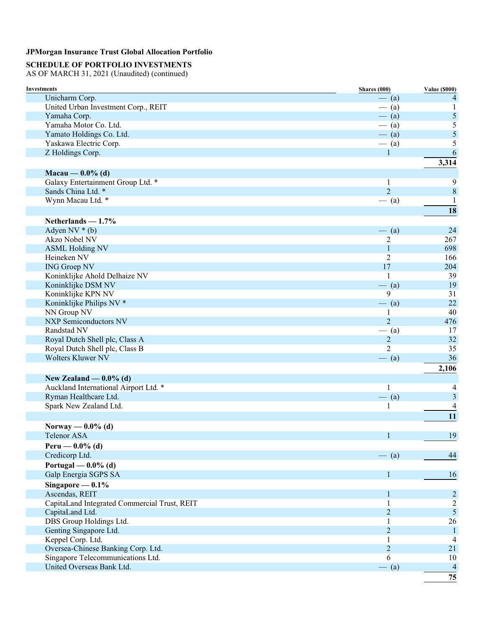# **SCHEDULE OF PORTFOLIO INVESTMENTS**

| <b>Investments</b>                           | <b>Shares</b> (000) | <b>Value (\$000)</b> |
|----------------------------------------------|---------------------|----------------------|
| Unicharm Corp.                               | $-$ (a)             | 4                    |
| United Urban Investment Corp., REIT          | $-$ (a)             | 1                    |
| Yamaha Corp.                                 | $-$ (a)             | 5                    |
| Yamaha Motor Co. Ltd.                        | $-$ (a)             | 5                    |
| Yamato Holdings Co. Ltd.                     | $-$ (a)             | 5                    |
| Yaskawa Electric Corp.                       | $-$ (a)             | 5                    |
| Z Holdings Corp.                             | $\mathbf{1}$        | 6                    |
|                                              |                     | 3,314                |
| Macau — $0.0\%$ (d)                          |                     |                      |
| Galaxy Entertainment Group Ltd. *            | $\mathbf{1}$        | 9                    |
| Sands China Ltd. *                           | $\overline{2}$      | $\,8\,$              |
| Wynn Macau Ltd. *                            | $-$ (a)             | 1                    |
|                                              |                     | 18                   |
| Netherlands $-1.7%$                          |                     |                      |
| Adyen NV $*(b)$                              | $-$ (a)             | 24                   |
| Akzo Nobel NV                                | 2                   | 267                  |
| <b>ASML Holding NV</b>                       | 1                   | 698                  |
| Heineken NV                                  | $\overline{2}$      | 166                  |
| <b>ING Groep NV</b>                          | 17                  | 204                  |
| Koninklijke Ahold Delhaize NV                | 1                   | 39                   |
| Koninklijke DSM NV                           | $-$ (a)             | 19                   |
| Koninklijke KPN NV                           | 9                   | 31                   |
| Koninklijke Philips NV *                     | $-$ (a)             | 22                   |
| NN Group NV                                  | 1                   | 40                   |
| <b>NXP Semiconductors NV</b>                 | $\overline{2}$      | 476                  |
| Randstad NV                                  | $-$ (a)             | 17                   |
| Royal Dutch Shell plc, Class A               | $\overline{c}$      | 32                   |
| Royal Dutch Shell plc, Class B               | $\overline{2}$      | 35                   |
| <b>Wolters Kluwer NV</b>                     | $-$ (a)             | 36                   |
|                                              |                     | 2,106                |
| New Zealand $-$ 0.0% (d)                     |                     |                      |
| Auckland International Airport Ltd. *        | 1                   | 4                    |
| Ryman Healthcare Ltd.                        | $-$ (a)             | $\mathfrak{Z}$       |
| Spark New Zealand Ltd.                       | $\mathbf{1}$        | 4                    |
|                                              |                     | 11                   |
|                                              |                     |                      |
| Norway — $0.0\%$ (d)                         |                     |                      |
| <b>Telenor ASA</b>                           | $\mathbf{1}$        | 19                   |
| Peru — $0.0\%$ (d)                           |                     |                      |
| Credicorp Ltd.                               | $-$ (a)             | 44                   |
| Portugal — $0.0\%$ (d)                       |                     |                      |
| Galp Energia SGPS SA                         | $\mathbf{1}$        | 16                   |
| Singapore — $0.1\%$                          |                     |                      |
| Ascendas, REIT                               | 1                   | $\overline{2}$       |
| CapitaLand Integrated Commercial Trust, REIT | 1                   | $\overline{c}$       |
| CapitaLand Ltd.                              | $\overline{2}$      | $\mathfrak{S}$       |
| DBS Group Holdings Ltd.                      | $\mathbf{1}$        | 26                   |
| Genting Singapore Ltd.                       | $\overline{2}$      | $\mathbf{1}$         |
| Keppel Corp. Ltd.                            | 1                   | 4                    |
| Oversea-Chinese Banking Corp. Ltd.           | $\overline{2}$      | 21                   |
| Singapore Telecommunications Ltd.            | 6                   | 10                   |
| United Overseas Bank Ltd.                    | $-$ (a)             | $\overline{4}$       |
|                                              |                     | 75                   |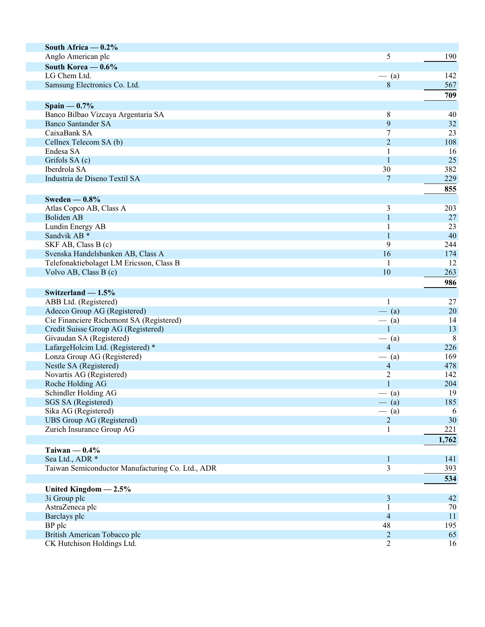| South Africa $-0.2\%$                            |                |                 |
|--------------------------------------------------|----------------|-----------------|
| Anglo American plc                               | 5              | 190             |
| South Korea $-0.6\%$                             |                |                 |
| LG Chem Ltd.                                     | $-$ (a)        | 142             |
| Samsung Electronics Co. Ltd.                     | $\,8\,$        | 567             |
|                                                  |                | 709             |
| Spain $-0.7%$                                    |                |                 |
| Banco Bilbao Vizcaya Argentaria SA               | 8              | 40              |
| <b>Banco Santander SA</b>                        | 9              | 32              |
| CaixaBank SA                                     | 7              | 23              |
| Cellnex Telecom SA (b)                           | $\overline{2}$ | 108             |
| Endesa SA                                        | 1              | 16              |
| Grifols SA (c)                                   | $\mathbf{1}$   | 25              |
| Iberdrola SA                                     | 30             | 382             |
| Industria de Diseno Textil SA                    | 7              | 229             |
|                                                  |                | 855             |
| Sweden $-0.8\%$                                  |                |                 |
| Atlas Copco AB, Class A                          | $\mathfrak{Z}$ | 203             |
| <b>Boliden AB</b>                                | $\mathbf{1}$   | 27              |
| Lundin Energy AB                                 | 1              | 23              |
| Sandvik AB <sup>*</sup>                          | $\mathbf{1}$   | 40              |
| SKF AB, Class B (c)                              | 9              | 244             |
| Svenska Handelsbanken AB, Class A                | 16             | 174             |
| Telefonaktiebolaget LM Ericsson, Class B         | -1             | 12              |
| Volvo AB, Class B (c)                            | 10             | 263             |
|                                                  |                | 986             |
| Switzerland $-1.5%$                              |                |                 |
| ABB Ltd. (Registered)                            | 1              | 27              |
| Adecco Group AG (Registered)                     | $-$ (a)        | 20              |
| Cie Financiere Richemont SA (Registered)         | $-$ (a)        | 14              |
| Credit Suisse Group AG (Registered)              | $\mathbf{1}$   | 13              |
| Givaudan SA (Registered)                         | $-$ (a)        | $8\phantom{.0}$ |
| LafargeHolcim Ltd. (Registered) *                | $\overline{4}$ | 226             |
| Lonza Group AG (Registered)                      | $-$ (a)        | 169             |
| Nestle SA (Registered)                           | $\overline{4}$ | 478             |
| Novartis AG (Registered)                         | $\overline{c}$ | 142             |
| Roche Holding AG                                 | $\mathbf{1}$   | 204             |
| Schindler Holding AG                             | $-$ (a)        | 19              |
| SGS SA (Registered)                              | $-$ (a)        | 185             |
| Sika AG (Registered)                             | $-$ (a)        | 6               |
| <b>UBS</b> Group AG (Registered)                 | $\sqrt{2}$     | 30              |
| Zurich Insurance Group AG                        | 1              | 221             |
|                                                  |                | 1,762           |
| Taiwan $-0.4%$                                   |                |                 |
| Sea Ltd., ADR *                                  | 1              | 141             |
| Taiwan Semiconductor Manufacturing Co. Ltd., ADR | 3              | 393             |
|                                                  |                | 534             |
| United Kingdom $-2.5%$                           |                |                 |
| 3i Group plc                                     | $\mathfrak{Z}$ | 42              |
| AstraZeneca plc                                  |                | $70\,$          |
| Barclays plc                                     | $\overline{4}$ | 11              |
| BP plc                                           | 48             | 195             |
| British American Tobacco plc                     | $\overline{2}$ | 65              |
| CK Hutchison Holdings Ltd.                       | $\overline{2}$ | 16              |
|                                                  |                |                 |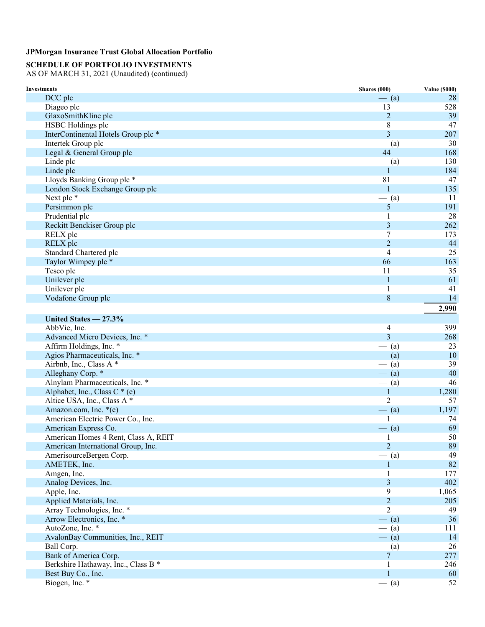# **SCHEDULE OF PORTFOLIO INVESTMENTS**

| <b>Investments</b>                   | Shares (000)   | <b>Value (\$000)</b> |
|--------------------------------------|----------------|----------------------|
| DCC plc                              | $-$ (a)        | 28                   |
| Diageo plc                           | 13             | 528                  |
| GlaxoSmithKline plc                  | $\overline{2}$ | 39                   |
| HSBC Holdings plc                    | 8              | 47                   |
| InterContinental Hotels Group plc *  | $\overline{3}$ | 207                  |
| Intertek Group plc                   | $-$ (a)        | 30                   |
| Legal & General Group plc            | 44             | 168                  |
| Linde plc                            | $-$ (a)        | 130                  |
| Linde plc                            | $\mathbf{1}$   | 184                  |
| Lloyds Banking Group plc *           | 81             | 47                   |
| London Stock Exchange Group plc      | $\mathbf{1}$   | 135                  |
| Next plc *                           | $-$ (a)        | 11                   |
| Persimmon plc                        | 5              | 191                  |
| Prudential plc                       | 1              | 28                   |
| Reckitt Benckiser Group plc          | 3              | 262                  |
| RELX plc                             | 7              | 173                  |
| RELX plc                             | $\overline{2}$ | 44                   |
| Standard Chartered plc               | $\overline{4}$ | 25                   |
| Taylor Wimpey plc *                  | 66             | 163                  |
| Tesco plc                            | 11             | 35                   |
| Unilever plc                         | $\mathbf{1}$   | 61                   |
| Unilever plc                         | 1              | 41                   |
| Vodafone Group plc                   | 8              | 14                   |
|                                      |                | 2,990                |
|                                      |                |                      |
| United States $-27.3%$               |                |                      |
| AbbVie, Inc.                         | 4              | 399                  |
| Advanced Micro Devices, Inc. *       | 3              | 268                  |
| Affirm Holdings, Inc. *              | $-$ (a)        | 23                   |
| Agios Pharmaceuticals, Inc. *        | $-$ (a)        | 10                   |
| Airbnb, Inc., Class A *              | $-$ (a)        | 39                   |
| Alleghany Corp. *                    | $-$ (a)        | 40                   |
| Alnylam Pharmaceuticals, Inc. *      | $-$ (a)        | 46                   |
| Alphabet, Inc., Class C * (e)        | $\mathbf{1}$   | 1,280                |
| Altice USA, Inc., Class A *          | 2              | 57                   |
| Amazon.com, Inc. *(e)                | $-$ (a)        | 1,197                |
| American Electric Power Co., Inc.    | 1              | 74                   |
| American Express Co.                 | $-$ (a)        | 69                   |
| American Homes 4 Rent, Class A, REIT | 1              | 50                   |
| American International Group, Inc.   | $\overline{2}$ | 89                   |
| AmerisourceBergen Corp.              | $-$ (a)        | 49                   |
| AMETEK, Inc.                         | 1              | 82                   |
| Amgen, Inc.                          | 1              | 177                  |
| Analog Devices, Inc.                 | 3              | 402                  |
| Apple, Inc.                          | 9              | 1,065                |
| Applied Materials, Inc.              | $\overline{2}$ | 205                  |
| Array Technologies, Inc. *           | 2              | 49                   |
| Arrow Electronics, Inc. *            | $-$ (a)        | 36                   |
| AutoZone, Inc. *                     | $-$ (a)        | 111                  |
| AvalonBay Communities, Inc., REIT    | $-$ (a)        | 14                   |
| Ball Corp.                           | $-$ (a)        | 26                   |
| Bank of America Corp.                | $\overline{7}$ | 277                  |
| Berkshire Hathaway, Inc., Class B *  | $\mathbf{1}$   | 246                  |
| Best Buy Co., Inc.                   | $\mathbf{1}$   | 60                   |
| Biogen, Inc. *                       | $-$ (a)        | 52                   |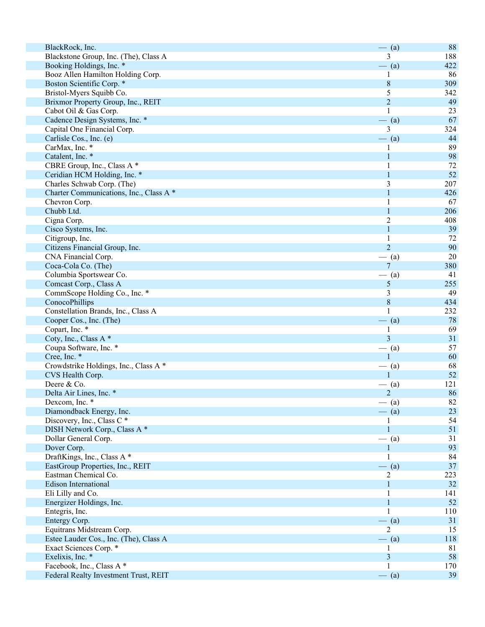| BlackRock, Inc.                         | $-$ (a)        | 88  |
|-----------------------------------------|----------------|-----|
| Blackstone Group, Inc. (The), Class A   | 3              | 188 |
| Booking Holdings, Inc. *                | $-$ (a)        | 422 |
| Booz Allen Hamilton Holding Corp.       |                | 86  |
| Boston Scientific Corp. *               | 8              | 309 |
| Bristol-Myers Squibb Co.                | 5              | 342 |
| Brixmor Property Group, Inc., REIT      | $\overline{2}$ | 49  |
| Cabot Oil & Gas Corp.                   | 1              | 23  |
| Cadence Design Systems, Inc. *          | $-$ (a)        | 67  |
| Capital One Financial Corp.             | 3              | 324 |
| Carlisle Cos., Inc. (e)                 | $-$ (a)        | 44  |
|                                         |                | 89  |
| CarMax, Inc. *                          | 1              |     |
| Catalent, Inc. *                        | 1              | 98  |
| CBRE Group, Inc., Class A *             |                | 72  |
| Ceridian HCM Holding, Inc. *            | 1              | 52  |
| Charles Schwab Corp. (The)              | 3              | 207 |
| Charter Communications, Inc., Class A * |                | 426 |
| Chevron Corp.                           |                | 67  |
| Chubb Ltd.                              |                | 206 |
| Cigna Corp.                             | $\overline{2}$ | 408 |
| Cisco Systems, Inc.                     | 1              | 39  |
| Citigroup, Inc.                         | 1              | 72  |
| Citizens Financial Group, Inc.          | $\overline{2}$ | 90  |
| CNA Financial Corp.                     | $-$ (a)        | 20  |
| Coca-Cola Co. (The)                     | $\overline{7}$ | 380 |
| Columbia Sportswear Co.                 | (a)            | 41  |
| Comcast Corp., Class A                  | 5              | 255 |
| CommScope Holding Co., Inc. *           | 3              | 49  |
| ConocoPhillips                          | $\, 8$         | 434 |
| Constellation Brands, Inc., Class A     | 1              | 232 |
| Cooper Cos., Inc. (The)                 | $-$ (a)        | 78  |
| Copart, Inc. *                          |                | 69  |
| Coty, Inc., Class A*                    | 3              | 31  |
| Coupa Software, Inc. *                  |                | 57  |
|                                         | $-$ (a)        |     |
| Cree, Inc. *                            |                | 60  |
| Crowdstrike Holdings, Inc., Class A *   | $-$ (a)        | 68  |
| CVS Health Corp.                        | 1              | 52  |
| Deere & Co.                             | (a)            | 121 |
| Delta Air Lines, Inc. *                 | $\mathfrak{D}$ | 86  |
| Dexcom, Inc. *                          | $-$ (a)        | 82  |
| Diamondback Energy, Inc.                | $-$ (a)        | 23  |
| Discovery, Inc., Class C <sup>*</sup>   |                | 54  |
| DISH Network Corp., Class A *           | 1              | 51  |
| Dollar General Corp.                    | $-$ (a)        | 31  |
| Dover Corp.                             |                | 93  |
| DraftKings, Inc., Class A *             | 1              | 84  |
| EastGroup Properties, Inc., REIT        | $-$ (a)        | 37  |
| Eastman Chemical Co.                    | 2              | 223 |
| <b>Edison International</b>             | 1              | 32  |
| Eli Lilly and Co.                       |                | 141 |
| Energizer Holdings, Inc.                |                | 52  |
| Entegris, Inc.                          | 1              | 110 |
| Entergy Corp.                           | $-$ (a)        | 31  |
| Equitrans Midstream Corp.               | 2              | 15  |
| Estee Lauder Cos., Inc. (The), Class A  | $-$ (a)        | 118 |
| Exact Sciences Corp. *                  | I              | 81  |
| Exelixis, Inc. *                        | 3              | 58  |
|                                         |                |     |
| Facebook, Inc., Class A *               |                | 170 |
| Federal Realty Investment Trust, REIT   | $-$ (a)        | 39  |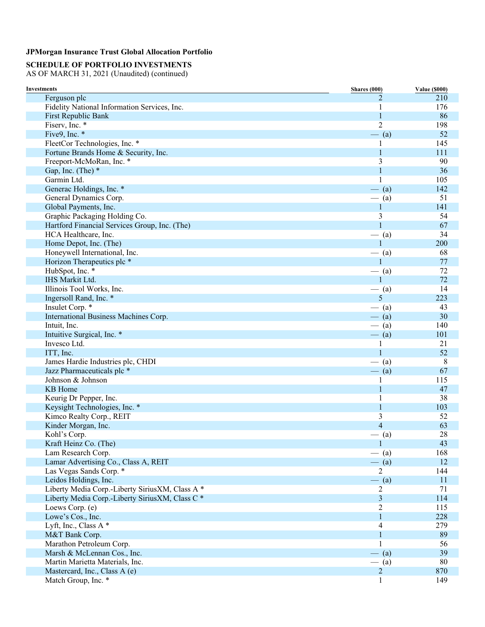# **SCHEDULE OF PORTFOLIO INVESTMENTS**

| <b>Investments</b>                              | <b>Shares</b> (000) | <b>Value (\$000)</b> |
|-------------------------------------------------|---------------------|----------------------|
| Ferguson plc                                    | $\mathfrak{D}$      | 210                  |
| Fidelity National Information Services, Inc.    | 1                   | 176                  |
| First Republic Bank                             | 1                   | 86                   |
| Fiserv, Inc. *                                  | $\overline{2}$      | 198                  |
| Five9, Inc. *                                   | $-$ (a)             | 52                   |
| FleetCor Technologies, Inc. *                   |                     | 145                  |
| Fortune Brands Home & Security, Inc.            | $\mathbf{1}$        | 111                  |
| Freeport-McMoRan, Inc. *                        | 3                   | 90                   |
| Gap, Inc. (The) *                               | $\mathbf{1}$        | 36                   |
| Garmin Ltd.                                     |                     | 105                  |
| Generac Holdings, Inc. *                        | $-$ (a)             | 142                  |
| General Dynamics Corp.                          | $-$ (a)             | 51                   |
| Global Payments, Inc.                           | $\mathbf{1}$        | 141                  |
| Graphic Packaging Holding Co.                   | 3                   | 54                   |
| Hartford Financial Services Group, Inc. (The)   | 1                   | 67                   |
| HCA Healthcare, Inc.                            | $-$ (a)             | 34                   |
| Home Depot, Inc. (The)                          | 1                   | 200                  |
| Honeywell International, Inc.                   | (a)                 | 68                   |
| Horizon Therapeutics plc *                      | $\mathbf{1}$        | 77                   |
| HubSpot, Inc. *                                 | $-$ (a)             | 72                   |
| <b>IHS Markit Ltd.</b>                          | $\mathbf{1}$        | 72                   |
| Illinois Tool Works, Inc.                       | $-$ (a)             | 14                   |
| Ingersoll Rand, Inc. *                          | 5                   | 223                  |
| Insulet Corp. *                                 | $-$ (a)             | 43                   |
| International Business Machines Corp.           | $-$ (a)             | 30                   |
| Intuit, Inc.                                    | $-$ (a)             | 140                  |
| Intuitive Surgical, Inc. *                      | $-$ (a)             | 101                  |
| Invesco Ltd.                                    |                     | 21                   |
| ITT, Inc.                                       | 1                   | 52                   |
| James Hardie Industries plc, CHDI               | $-$ (a)             | 8                    |
| Jazz Pharmaceuticals plc *                      | $-$ (a)             | 67                   |
| Johnson & Johnson                               | 1                   | 115                  |
| KB Home                                         | 1                   | 47                   |
| Keurig Dr Pepper, Inc.                          | 1                   | 38                   |
| Keysight Technologies, Inc. *                   | $\mathbf{1}$        | 103                  |
| Kimco Realty Corp., REIT                        | 3                   | 52                   |
| Kinder Morgan, Inc.                             | $\overline{4}$      | 63                   |
| Kohl's Corp.                                    | $-$ (a)             | 28                   |
| Kraft Heinz Co. (The)                           | 1                   | 43                   |
| Lam Research Corp.                              | $-$ (a)             | 168                  |
| Lamar Advertising Co., Class A, REIT            | $-$ (a)             | 12                   |
| Las Vegas Sands Corp. *                         | $\overline{2}$      | 144                  |
| Leidos Holdings, Inc.                           | $-$ (a)             | 11                   |
| Liberty Media Corp.-Liberty SiriusXM, Class A * | $\overline{c}$      | 71                   |
| Liberty Media Corp.-Liberty SiriusXM, Class C * | 3                   | 114                  |
| Loews Corp. (e)                                 | $\overline{c}$      | 115                  |
| Lowe's Cos., Inc.                               | $\mathbf{1}$        | 228                  |
|                                                 | 4                   | 279                  |
| Lyft, Inc., Class A*                            | $\mathbf{1}$        | 89                   |
| M&T Bank Corp.<br>Marathon Petroleum Corp.      | 1                   |                      |
|                                                 |                     | 56                   |
| Marsh & McLennan Cos., Inc.                     | $-$ (a)             | 39                   |
| Martin Marietta Materials, Inc.                 | $-$ (a)             | 80                   |
| Mastercard, Inc., Class A (e)                   | $\overline{c}$      | 870                  |
| Match Group, Inc. *                             | 1                   | 149                  |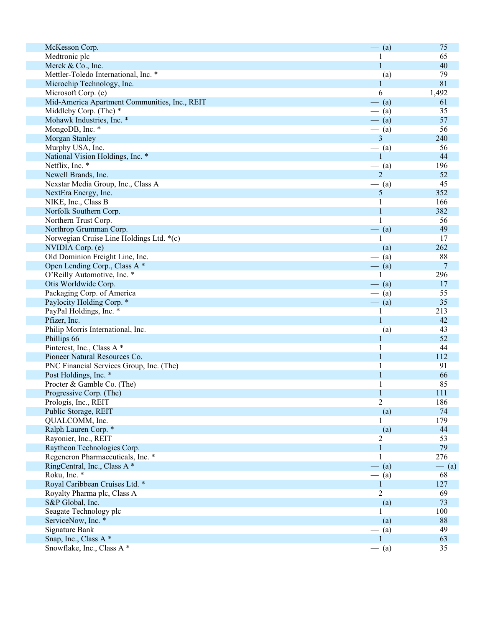| McKesson Corp.                                | $-$ (a)                         | 75      |
|-----------------------------------------------|---------------------------------|---------|
| Medtronic plc                                 |                                 | 65      |
| Merck & Co., Inc.                             | $\mathbf{1}$                    | 40      |
| Mettler-Toledo International, Inc. *          | $-$ (a)                         | 79      |
| Microchip Technology, Inc.                    | 1                               | 81      |
| Microsoft Corp. (e)                           | 6                               | 1,492   |
| Mid-America Apartment Communities, Inc., REIT | $-$ (a)                         | 61      |
| Middleby Corp. (The) *                        | (a)                             | 35      |
| Mohawk Industries, Inc. *                     | $-$ (a)                         | 57      |
| MongoDB, Inc. *                               | $-$ (a)                         | 56      |
| Morgan Stanley                                | 3                               | 240     |
| Murphy USA, Inc.                              | $-$ (a)                         | 56      |
| National Vision Holdings, Inc. *              | $\mathbf{1}$                    | 44      |
| Netflix, Inc. *                               | $-$ (a)                         | 196     |
| Newell Brands, Inc.                           | $\overline{2}$                  | 52      |
| Nexstar Media Group, Inc., Class A            | $-$ (a)                         | 45      |
| NextEra Energy, Inc.                          | 5                               | 352     |
| NIKE, Inc., Class B                           |                                 | 166     |
| Norfolk Southern Corp.                        | 1                               | 382     |
| Northern Trust Corp.                          |                                 | 56      |
| Northrop Grumman Corp.                        | $-$ (a)                         | 49      |
| Norwegian Cruise Line Holdings Ltd. *(c)      | 1                               | 17      |
| NVIDIA Corp. (e)                              | $-$ (a)                         | 262     |
| Old Dominion Freight Line, Inc.               | $-$ (a)                         | 88      |
| Open Lending Corp., Class A *                 | $-$ (a)                         | 7       |
| O'Reilly Automotive, Inc. *                   |                                 | 296     |
| Otis Worldwide Corp.                          | $-$ (a)                         | 17      |
| Packaging Corp. of America                    | $-$ (a)                         | 55      |
| Paylocity Holding Corp. *                     | $-$ (a)                         | 35      |
| PayPal Holdings, Inc. *                       |                                 | 213     |
| Pfizer, Inc.                                  | $\mathbf{1}$                    | 42      |
| Philip Morris International, Inc.             | (a)<br>$\overline{\phantom{0}}$ | 43      |
| Phillips 66                                   |                                 | 52      |
| Pinterest, Inc., Class A *                    |                                 | 44      |
| Pioneer Natural Resources Co.                 |                                 | 112     |
| PNC Financial Services Group, Inc. (The)      |                                 | 91      |
| Post Holdings, Inc. *                         |                                 | 66      |
| Procter & Gamble Co. (The)                    |                                 | 85      |
| Progressive Corp. (The)                       |                                 | 111     |
| Prologis, Inc., REIT                          | $\overline{2}$                  | 186     |
| Public Storage, REIT                          | $-$ (a)                         | 74      |
| QUALCOMM, Inc.                                |                                 | 179     |
| Ralph Lauren Corp. *                          | $-$ (a)                         | 44      |
| Rayonier, Inc., REIT                          | 2                               | 53      |
| Raytheon Technologies Corp.                   | $\mathbf{1}$                    | 79      |
| Regeneron Pharmaceuticals, Inc. *             | 1                               | 276     |
| RingCentral, Inc., Class A *                  | $-$ (a)                         | $-$ (a) |
| Roku, Inc. *                                  | $-$ (a)                         | 68      |
| Royal Caribbean Cruises Ltd. *                | $\mathbf{1}$                    | 127     |
| Royalty Pharma plc, Class A                   | $\overline{c}$                  | 69      |
| S&P Global, Inc.                              | $-$ (a)                         | 73      |
| Seagate Technology plc                        | 1                               | 100     |
| ServiceNow, Inc. *                            | $-$ (a)                         | 88      |
| Signature Bank                                | $-$ (a)                         | 49      |
| Snap, Inc., Class A*                          | 1                               | 63      |
| Snowflake, Inc., Class A *                    | $-$ (a)                         | 35      |
|                                               |                                 |         |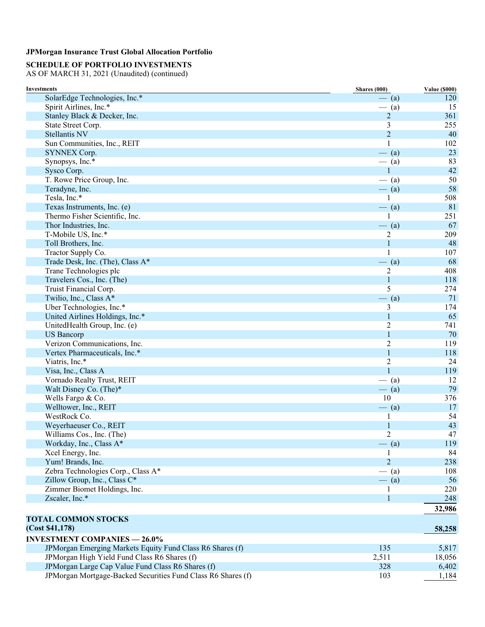## **SCHEDULE OF PORTFOLIO INVESTMENTS**

| <b>Investments</b>                                           | Shares (000)   | <b>Value (\$000)</b> |
|--------------------------------------------------------------|----------------|----------------------|
| SolarEdge Technologies, Inc.*                                | $-$ (a)        | 120                  |
| Spirit Airlines, Inc.*                                       | $-$ (a)        | 15                   |
| Stanley Black & Decker, Inc.                                 | $\overline{2}$ | 361                  |
| State Street Corp.                                           | 3              | 255                  |
| <b>Stellantis NV</b>                                         | $\overline{2}$ | 40                   |
| Sun Communities, Inc., REIT                                  | 1              | 102                  |
| SYNNEX Corp.                                                 | $-$ (a)        | 23                   |
| Synopsys, Inc.*                                              | $-$ (a)        | 83                   |
| Sysco Corp.                                                  | $\mathbf{1}$   | 42                   |
| T. Rowe Price Group, Inc.                                    | $-$ (a)        | 50                   |
| Teradyne, Inc.                                               | $-$ (a)        | 58                   |
| Tesla, Inc.*                                                 | 1              | 508                  |
| Texas Instruments, Inc. (e)                                  | $-$ (a)        | 81                   |
| Thermo Fisher Scientific, Inc.                               | 1              | 251                  |
| Thor Industries, Inc.                                        | $-$ (a)        | 67                   |
| T-Mobile US, Inc.*                                           | 2              | 209                  |
| Toll Brothers, Inc.                                          | 1              | 48                   |
| Tractor Supply Co.                                           | $\mathbf{1}$   | 107                  |
| Trade Desk, Inc. (The), Class A*                             | $-$ (a)        | 68                   |
| Trane Technologies plc                                       | 2              | 408                  |
| Travelers Cos., Inc. (The)                                   | $\mathbf{1}$   | 118                  |
| Truist Financial Corp.                                       | 5              | 274                  |
| Twilio, Inc., Class A*                                       | $-$ (a)        | 71                   |
| Uber Technologies, Inc.*                                     | 3              | 174                  |
| United Airlines Holdings, Inc.*                              | $\mathbf{1}$   | 65                   |
| UnitedHealth Group, Inc. (e)                                 | $\overline{2}$ | 741                  |
| <b>US</b> Bancorp                                            | $\mathbf{1}$   | 70                   |
| Verizon Communications, Inc.                                 | $\overline{2}$ | 119                  |
| Vertex Pharmaceuticals, Inc.*                                | $\mathbf{1}$   | 118                  |
| Viatris, Inc.*                                               | $\overline{2}$ | 24                   |
| Visa, Inc., Class A                                          | $\mathbf{1}$   | 119                  |
| Vornado Realty Trust, REIT                                   | $-$ (a)        | 12                   |
| Walt Disney Co. (The)*                                       | $-$ (a)        | 79                   |
| Wells Fargo & Co.                                            | 10             | 376                  |
| Welltower, Inc., REIT                                        | $-$ (a)        | 17                   |
| WestRock Co.                                                 | 1              | 54                   |
| Weyerhaeuser Co., REIT                                       | 1              | 43                   |
| Williams Cos., Inc. (The)                                    | $\overline{2}$ | 47                   |
| Workday, Inc., Class A*                                      | $-$ (a)        | 119                  |
| Xcel Energy, Inc.                                            |                | 84                   |
| Yum! Brands, Inc.                                            | $\overline{2}$ | 238                  |
| Zebra Technologies Corp., Class A*                           | $-$ (a)        | 108                  |
| Zillow Group, Inc., Class C*                                 | $-$ (a)        | 56                   |
| Zimmer Biomet Holdings, Inc.                                 | 1              | 220                  |
| Zscaler, Inc.*                                               | $\mathbf{1}$   | 248                  |
|                                                              |                | 32,986               |
| <b>TOTAL COMMON STOCKS</b>                                   |                |                      |
|                                                              |                |                      |
| (Cost \$41,178)                                              |                | 58,258               |
| <b>INVESTMENT COMPANIES - 26.0%</b>                          |                |                      |
| JPMorgan Emerging Markets Equity Fund Class R6 Shares (f)    | 135            | 5,817                |
| JPMorgan High Yield Fund Class R6 Shares (f)                 | 2,511          | 18,056               |
| JPMorgan Large Cap Value Fund Class R6 Shares (f)            | 328            | 6,402                |
| JPMorgan Mortgage-Backed Securities Fund Class R6 Shares (f) | 103            | 1,184                |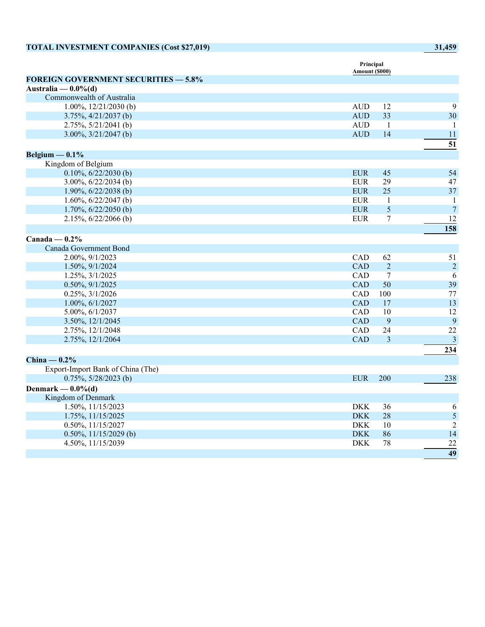| <b>TOTAL INVESTMENT COMPANIES (Cost \$27,019)</b> |                             |                | 31,459                  |
|---------------------------------------------------|-----------------------------|----------------|-------------------------|
|                                                   | Principal<br>Amount (\$000) |                |                         |
| <b>FOREIGN GOVERNMENT SECURITIES - 5.8%</b>       |                             |                |                         |
| Australia — $0.0\%$ (d)                           |                             |                |                         |
| Commonwealth of Australia                         |                             |                |                         |
| $1.00\%, 12/21/2030$ (b)                          | <b>AUD</b>                  | 12             | 9                       |
| $3.75\%, \frac{4}{21/2037}$ (b)                   | <b>AUD</b>                  | 33             | 30                      |
| 2.75%, 5/21/2041 (b)                              | <b>AUD</b>                  | $\mathbf{1}$   | -1                      |
| $3.00\%, 3/21/2047$ (b)                           | $\mbox{AUD}$                | 14             | 11                      |
|                                                   |                             |                | 51                      |
| Belgium $-0.1\%$                                  |                             |                |                         |
| Kingdom of Belgium                                |                             |                |                         |
| $0.10\%, 6/22/2030$ (b)                           | <b>EUR</b>                  | 45             | 54                      |
| $3.00\%, 6/22/2034$ (b)                           | <b>EUR</b>                  | 29             | 47                      |
| 1.90%, $6/22/2038$ (b)                            | <b>EUR</b>                  | 25             | 37                      |
| 1.60%, $6/22/2047$ (b)                            | <b>EUR</b>                  | $\mathbf{1}$   | $\mathbf{1}$            |
| $1.70\%, 6/22/2050$ (b)                           | <b>EUR</b>                  | 5              | $\boldsymbol{7}$        |
| $2.15\%, 6/22/2066$ (b)                           | <b>EUR</b>                  | $\tau$         | 12                      |
|                                                   |                             |                | 158                     |
| Canada — $0.2\%$                                  |                             |                |                         |
| Canada Government Bond                            |                             |                |                         |
| 2.00%, 9/1/2023                                   | <b>CAD</b>                  | 62             | 51                      |
| 1.50%, 9/1/2024                                   | <b>CAD</b>                  | $\overline{2}$ | $\boldsymbol{2}$        |
| 1.25%, 3/1/2025                                   | CAD                         | $\overline{7}$ | 6                       |
| $0.50\%, 9/1/2025$                                | <b>CAD</b>                  | 50             | 39                      |
| 0.25%, 3/1/2026                                   | CAD                         | 100            | 77                      |
| $1.00\%, 6/1/2027$                                | CAD                         | 17             | 13                      |
| 5.00%, 6/1/2037                                   | CAD                         | 10             | 12                      |
| 3.50%, 12/1/2045                                  | <b>CAD</b>                  | 9              | 9                       |
| 2.75%, 12/1/2048                                  | CAD                         | 24             | 22                      |
| 2.75%, 12/1/2064                                  | <b>CAD</b>                  | $\overline{3}$ | $\overline{\mathbf{3}}$ |
|                                                   |                             |                | 234                     |
| China $-0.2\%$                                    |                             |                |                         |
| Export-Import Bank of China (The)                 |                             |                |                         |
| $0.75\%, 5/28/2023$ (b)                           | <b>EUR</b>                  | 200            | 238                     |
| Denmark — $0.0\%$ (d)                             |                             |                |                         |
| Kingdom of Denmark                                |                             |                |                         |
| 1.50%, 11/15/2023                                 | <b>DKK</b>                  | 36             | 6                       |
| 1.75%, 11/15/2025                                 | <b>DKK</b>                  | 28             | $\mathfrak{s}$          |
| 0.50%, 11/15/2027                                 | <b>DKK</b>                  | 10             | $\overline{2}$          |
| $0.50\%, 11/15/2029$ (b)                          | <b>DKK</b>                  | 86             | 14                      |
| 4.50%, 11/15/2039                                 | <b>DKK</b>                  | 78             | 22                      |
|                                                   |                             |                | 49                      |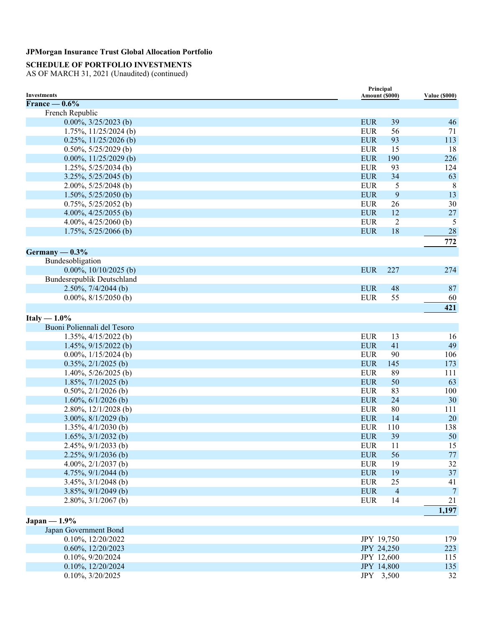# **SCHEDULE OF PORTFOLIO INVESTMENTS**

| Investments                       |            | Principal<br>Amount (\$000) | <b>Value (\$000)</b> |
|-----------------------------------|------------|-----------------------------|----------------------|
| France $-0.6\%$                   |            |                             |                      |
| French Republic                   |            |                             |                      |
| $0.00\%, 3/25/2023$ (b)           | <b>EUR</b> | 39                          | 46                   |
| $1.75\%, 11/25/2024$ (b)          | <b>EUR</b> | 56                          | 71                   |
| $0.25\%, 11/25/2026$ (b)          | <b>EUR</b> | 93                          | 113                  |
| $0.50\%, 5/25/2029$ (b)           | <b>EUR</b> | 15                          | 18                   |
| $0.00\%, 11/25/2029$ (b)          | <b>EUR</b> | 190                         | 226                  |
| $1.25\%, 5/25/2034$ (b)           | <b>EUR</b> | 93                          | 124                  |
| $3.25\%, 5/25/2045$ (b)           | <b>EUR</b> | 34                          | 63                   |
| 2.00%, $5/25/2048$ (b)            | <b>EUR</b> | 5                           | 8                    |
| $1.50\%, 5/25/2050$ (b)           | <b>EUR</b> | 9                           | 13                   |
| $0.75\%, 5/25/2052$ (b)           | <b>EUR</b> | 26                          | 30                   |
| 4.00%, $4/25/2055$ (b)            | <b>EUR</b> | 12                          | 27                   |
| 4.00%, $4/25/2060$ (b)            | <b>EUR</b> | $\overline{2}$              | 5                    |
| $1.75\%, 5/25/2066$ (b)           | <b>EUR</b> | 18                          | 28                   |
|                                   |            |                             | 772                  |
|                                   |            |                             |                      |
| Germany $-0.3\%$                  |            |                             |                      |
| Bundesobligation                  |            |                             |                      |
| $0.00\%, 10/10/2025$ (b)          | <b>EUR</b> | 227                         | 274                  |
| <b>Bundesrepublik Deutschland</b> |            |                             |                      |
| $2.50\%, 7/4/2044$ (b)            | <b>EUR</b> | 48                          | 87                   |
| $0.00\%, 8/15/2050$ (b)           | <b>EUR</b> | 55                          | 60                   |
|                                   |            |                             | 421                  |
| Italy $-1.0\%$                    |            |                             |                      |
| Buoni Poliennali del Tesoro       |            |                             |                      |
| $1.35\%, \frac{4}{15/2022}$ (b)   | <b>EUR</b> | 13                          | 16                   |
| $1.45\%, 9/15/2022$ (b)           | <b>EUR</b> | 41                          | 49                   |
| $0.00\%, 1/15/2024$ (b)           | <b>EUR</b> | 90                          | 106                  |
| $0.35\%, 2/1/2025$ (b)            | <b>EUR</b> | 145                         | 173                  |
| $1.40\%, 5/26/2025$ (b)           | <b>EUR</b> | 89                          | 111                  |
| 1.85%, $7/1/2025$ (b)             | <b>EUR</b> | 50                          | 63                   |
| $0.50\%, 2/1/2026$ (b)            | <b>EUR</b> | 83                          | 100                  |
| $1.60\%, 6/1/2026$ (b)            | <b>EUR</b> | 24                          | 30                   |
| 2.80%, $12/1/2028$ (b)            | <b>EUR</b> | 80                          | 111                  |
| $3.00\%, 8/1/2029$ (b)            | <b>EUR</b> | 14                          | 20                   |
| $1.35\%, \frac{4}{1/2030}$ (b)    | <b>EUR</b> | 110                         | 138                  |
| $1.65\%, \frac{3}{1/2032}$ (b)    | <b>EUR</b> | 39                          | 50                   |
| 2.45%, 9/1/2033 (b)               | <b>EUR</b> | 11                          | 15                   |
| $2.25\%, 9/1/2036$ (b)            | <b>EUR</b> | 56                          | 77                   |
| 4.00%, $2/1/2037$ (b)             | <b>EUR</b> | 19                          | 32                   |
| 4.75%, $9/1/2044$ (b)             | <b>EUR</b> | 19                          | $37\,$               |
| $3.45\%, \frac{3}{1/2048}$ (b)    | <b>EUR</b> | 25                          | 41                   |
| $3.85\%, 9/1/2049$ (b)            | <b>EUR</b> | $\overline{4}$              | $\overline{7}$       |
| $2.80\%, \frac{3}{1/2067}$ (b)    | <b>EUR</b> | 14                          | 21                   |
|                                   |            |                             | 1,197                |
| $Japan - 1.9%$                    |            |                             |                      |
| Japan Government Bond             |            |                             |                      |
| 0.10%, 12/20/2022                 |            | JPY 19,750                  | 179                  |
| 0.60%, 12/20/2023                 |            | JPY 24,250                  | 223                  |
| 0.10%, 9/20/2024                  |            | JPY 12,600                  | 115                  |
| 0.10%, 12/20/2024                 |            | JPY 14,800                  | 135                  |
| 0.10%, 3/20/2025                  |            | JPY 3,500                   | 32                   |
|                                   |            |                             |                      |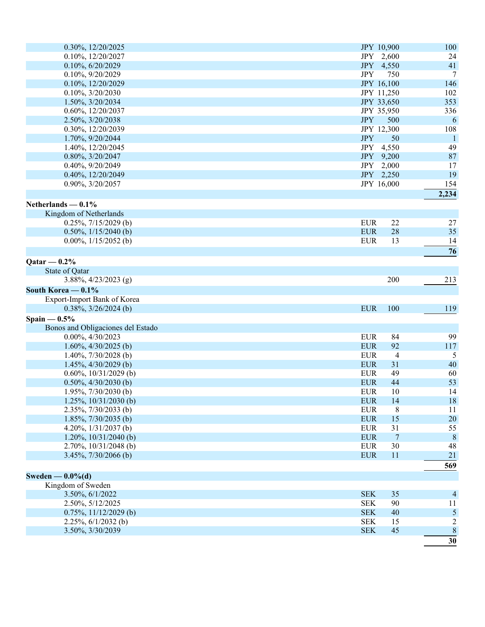| 0.30%, 12/20/2025                 |            | JPY 10,900     | 100             |
|-----------------------------------|------------|----------------|-----------------|
| 0.10%, 12/20/2027                 |            | JPY 2,600      | 24              |
| 0.10%, 6/20/2029                  | JPY 4,550  |                | 41              |
| 0.10%, 9/20/2029                  | <b>JPY</b> | 750            | $\overline{7}$  |
| 0.10%, 12/20/2029                 |            | JPY 16,100     | 146             |
| 0.10%, 3/20/2030                  |            | JPY 11,250     | 102             |
| 1.50%, 3/20/2034                  |            | JPY 33,650     | 353             |
| 0.60%, 12/20/2037                 |            | JPY 35,950     | 336             |
| 2.50%, 3/20/2038                  | <b>JPY</b> | 500            | 6               |
| 0.30%, 12/20/2039                 |            | JPY 12,300     | 108             |
| 1.70%, 9/20/2044                  | <b>JPY</b> | 50             | $\mathbf{1}$    |
| 1.40%, 12/20/2045                 |            | JPY 4,550      | 49              |
| 0.80%, 3/20/2047                  |            | JPY 9,200      | $87\,$          |
| 0.40%, 9/20/2049                  | JPY 2,000  |                | 17              |
| 0.40%, 12/20/2049                 |            | JPY 2,250      | 19              |
| 0.90%, 3/20/2057                  |            | JPY 16,000     | 154             |
|                                   |            |                | 2,234           |
| Netherlands $-0.1\%$              |            |                |                 |
| Kingdom of Netherlands            |            |                |                 |
| $0.25\%, 7/15/2029$ (b)           | <b>EUR</b> | 22             | 27              |
| $0.50\%, 1/15/2040$ (b)           | <b>EUR</b> | 28             | 35              |
| $0.00\%$ , $1/15/2052$ (b)        | <b>EUR</b> | 13             | 14              |
|                                   |            |                | 76              |
| $Qatar - 0.2%$                    |            |                |                 |
|                                   |            |                |                 |
| State of Qatar                    |            | 200            |                 |
| $3.88\%, \frac{4}{23}/2023$ (g)   |            |                | 213             |
| South Korea - 0.1%                |            |                |                 |
| Export-Import Bank of Korea       |            |                |                 |
| $0.38\%, 3/26/2024$ (b)           | <b>EUR</b> | 100            | 119             |
| Spain $-0.5%$                     |            |                |                 |
| Bonos and Obligaciones del Estado |            |                |                 |
| $0.00\%, 4/30/2023$               | <b>EUR</b> | 84             | 99              |
| $1.60\%, \frac{4}{30/2025}$ (b)   | <b>EUR</b> | 92             | 117             |
| 1.40%, $7/30/2028$ (b)            | <b>EUR</b> | 4              | 5               |
| $1.45\%, \frac{4}{30/2029}$ (b)   | <b>EUR</b> | 31             | 40              |
| $0.60\%, 10/31/2029$ (b)          | <b>EUR</b> | 49             | 60              |
| $0.50\%, \frac{4}{30/2030}$ (b)   | <b>EUR</b> | 44             | 53              |
| $1.95\%, 7/30/2030$ (b)           | <b>EUR</b> | 10             | 14              |
| 1.25%, $10/31/2030$ (b)           | <b>EUR</b> | 14             | 18              |
| 2.35%, 7/30/2033 (b)              | <b>EUR</b> | 8              | 11              |
| $1.85\%, 7/30/2035$ (b)           | <b>EUR</b> | 15             | $20\,$          |
| 4.20%, 1/31/2037 (b)              | <b>EUR</b> | 31             | 55              |
| $1.20\%$ , $10/31/2040$ (b)       | <b>EUR</b> | $\overline{7}$ | $8\phantom{.0}$ |
| $2.70\%, 10/31/2048$ (b)          | <b>EUR</b> | 30             | 48              |
| $3.45\%, 7/30/2066$ (b)           | <b>EUR</b> | 11             | 21              |
|                                   |            |                | 569             |
| Sweden $-0.0\%$ (d)               |            |                |                 |
| Kingdom of Sweden                 |            |                |                 |
| 3.50%, 6/1/2022                   | <b>SEK</b> | 35             | $\overline{4}$  |
| 2.50%, 5/12/2025                  | <b>SEK</b> | 90             | 11              |
| $0.75\%, 11/12/2029$ (b)          | <b>SEK</b> | 40             | 5               |
| $2.25\%, 6/1/2032$ (b)            | <b>SEK</b> | 15             | $\overline{c}$  |
| 3.50%, 3/30/2039                  | <b>SEK</b> | 45             | $\,8\,$         |
|                                   |            |                | $\overline{30}$ |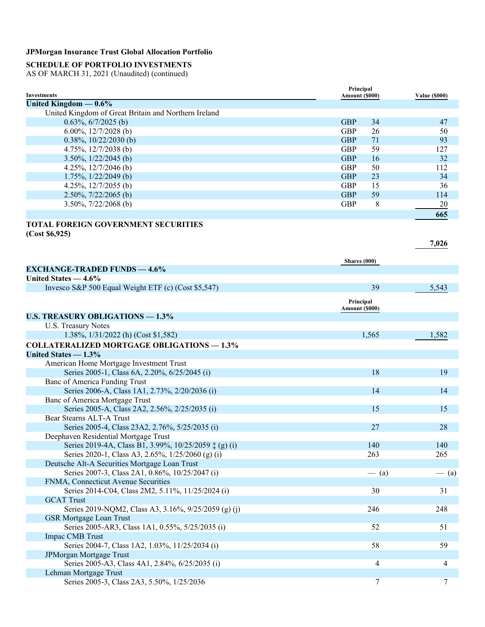### **SCHEDULE OF PORTFOLIO INVESTMENTS**

AS OF MARCH 31, 2021 (Unaudited) (continued)

|                                                      | Principal      |    |                      |
|------------------------------------------------------|----------------|----|----------------------|
| Investments                                          | Amount (\$000) |    | <b>Value (\$000)</b> |
| United Kingdom $-0.6\%$                              |                |    |                      |
| United Kingdom of Great Britain and Northern Ireland |                |    |                      |
| $0.63\%, 6/7/2025$ (b)                               | <b>GBP</b>     | 34 | 47                   |
| 6.00%, $12/7/2028$ (b)                               | <b>GBP</b>     | 26 | 50                   |
| $0.38\%, 10/22/2030$ (b)                             | <b>GBP</b>     | 71 | 93                   |
| 4.75%, $12/7/2038$ (b)                               | <b>GBP</b>     | 59 | 127                  |
| $3.50\%$ , $1/22/2045$ (b)                           | <b>GBP</b>     | 16 | 32                   |
| 4.25%, $12/7/2046$ (b)                               | <b>GBP</b>     | 50 | 112                  |
| $1.75\%$ , $1/22/2049$ (b)                           | <b>GBP</b>     | 23 | 34                   |
| 4.25%, $12/7/2055$ (b)                               | <b>GBP</b>     | 15 | 36                   |
| $2.50\%, \frac{7}{22}{2065}$ (b)                     | <b>GBP</b>     | 59 | 114                  |
| $3.50\%, 7/22/2068$ (b)                              | <b>GBP</b>     | 8  | 20                   |
|                                                      |                |    | 665                  |

#### **TOTAL FOREIGN GOVERNMENT SECURITIES (Cost \$6,925)**

**Shares (000) EXCHANGE-TRADED FUNDS — 4.6% United States — 4.6%** Invesco S&P 500 Equal Weight ETF (c) (Cost \$5,547) 39 5,543 **Principal Amount (\$000) U.S. TREASURY OBLIGATIONS — 1.3%** U.S. Treasury Notes 1.38%, 1/31/2022 (h) (Cost \$1,582) 1.565 1,582 **COLLATERALIZED MORTGAGE OBLIGATIONS — 1.3% United States — 1.3%** American Home Mortgage Investment Trust Series 2005-1, Class 6A, 2.20%, 6/25/2045 (i) 18 19 Banc of America Funding Trust Series 2006-A, Class 1A1, 2.73%, 2/20/2036 (i) 14 14 Banc of America Mortgage Trust Series 2005-A, Class 2A2, 2.56%, 2/25/2035 (i) 15 15 Bear Stearns ALT-A Trust Series 2005-4, Class 23A2, 2.76%, 5/25/2035 (i) 27 28 Deephaven Residential Mortgage Trust Series 2019-4A, Class B1, 3.99%, 10/25/2059  $\ddagger$  (g) (i) 140 140 140 Series 2020-1, Class A3, 2.65%, 1/25/2060 (g) (i) 263 2055 Deutsche Alt-A Securities Mortgage Loan Trust Series 2007-3, Class 2A1, 0.86%, 10/25/2047 (i)  $-$  (a)  $-$  (a) FNMA, Connecticut Avenue Securities Series 2014-C04, Class 2M2, 5.11%, 11/25/2024 (i) 30 31 GCAT Trust Series 2019-NQM2, Class A3, 3.16%, 9/25/2059 (g) (j) 246 248 GSR Mortgage Loan Trust Series 2005-AR3, Class 1A1, 0.55%, 5/25/2035 (i) 52 51 Impac CMB Trust Series 2004-7, Class 1A2, 1.03%, 11/25/2034 (i) 58 59 JPMorgan Mortgage Trust Series 2005-A3, Class 4A1, 2.84%, 6/25/2035 (i) 4 4 Lehman Mortgage Trust Series 2005-3, Class 2A3, 5.50%, 1/25/2036 7 7

**7,026**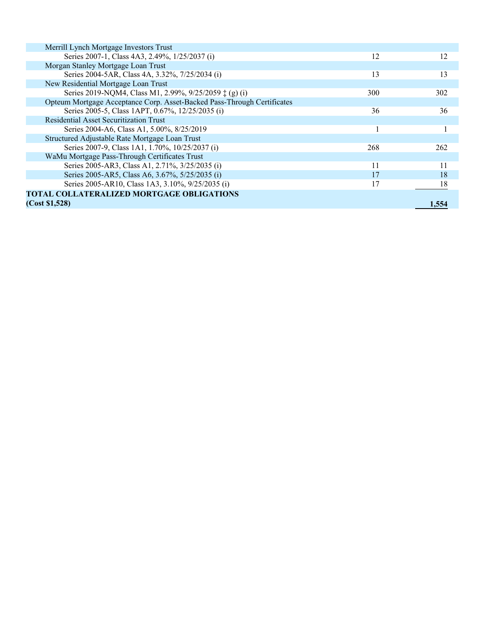| Merrill Lynch Mortgage Investors Trust                                  |     |       |
|-------------------------------------------------------------------------|-----|-------|
| Series 2007-1, Class 4A3, 2.49%, 1/25/2037 (i)                          | 12  | 12    |
| Morgan Stanley Mortgage Loan Trust                                      |     |       |
| Series 2004-5AR, Class 4A, 3.32%, 7/25/2034 (i)                         | 13  | 13    |
| New Residential Mortgage Loan Trust                                     |     |       |
| Series 2019-NQM4, Class M1, 2.99%, 9/25/2059 ‡ (g) (i)                  | 300 | 302   |
| Opteum Mortgage Acceptance Corp. Asset-Backed Pass-Through Certificates |     |       |
| Series 2005-5, Class 1APT, 0.67%, 12/25/2035 (i)                        | 36  | 36    |
| <b>Residential Asset Securitization Trust</b>                           |     |       |
| Series 2004-A6, Class A1, 5.00%, 8/25/2019                              |     |       |
| Structured Adjustable Rate Mortgage Loan Trust                          |     |       |
| Series 2007-9, Class 1A1, 1.70%, 10/25/2037 (i)                         | 268 | 262   |
| WaMu Mortgage Pass-Through Certificates Trust                           |     |       |
| Series 2005-AR3, Class A1, 2.71%, 3/25/2035 (i)                         | 11  | 11    |
| Series 2005-AR5, Class A6, 3.67%, 5/25/2035 (i)                         | 17  | 18    |
| Series 2005-AR10, Class 1A3, 3.10%, 9/25/2035 (i)                       | 17  | 18    |
| <b>TOTAL COLLATERALIZED MORTGAGE OBLIGATIONS</b>                        |     |       |
| (Cost \$1,528)                                                          |     | 1.554 |
|                                                                         |     |       |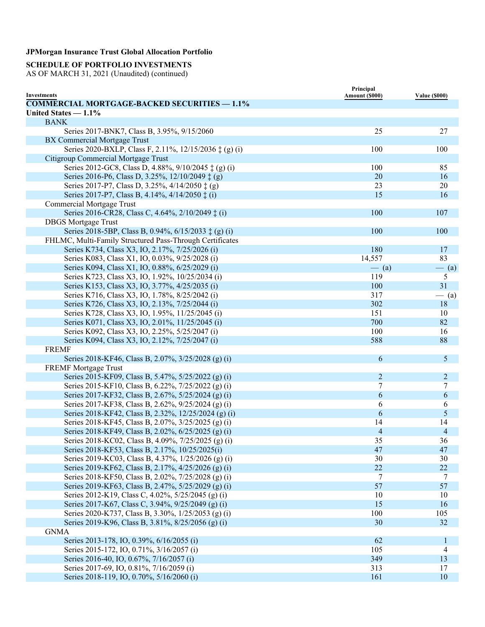# **SCHEDULE OF PORTFOLIO INVESTMENTS**

|                                                                                                             | Principal      |                      |
|-------------------------------------------------------------------------------------------------------------|----------------|----------------------|
| <b>Investments</b><br><b>COMMERCIAL MORTGAGE-BACKED SECURITIES - 1.1%</b>                                   | Amount (\$000) | <b>Value (\$000)</b> |
| United States $-1.1\%$                                                                                      |                |                      |
| <b>BANK</b>                                                                                                 |                |                      |
| Series 2017-BNK7, Class B, 3.95%, 9/15/2060                                                                 | 25             | 27                   |
| BX Commercial Mortgage Trust                                                                                |                |                      |
| Series 2020-BXLP, Class F, 2.11%, 12/15/2036 ‡ (g) (i)                                                      | 100            | 100                  |
| Citigroup Commercial Mortgage Trust                                                                         |                |                      |
| Series 2012-GC8, Class D, 4.88%, 9/10/2045 ‡ (g) (i)                                                        | 100            | 85                   |
| Series 2016-P6, Class D, 3.25%, 12/10/2049 ‡ (g)                                                            | 20             | 16                   |
| Series 2017-P7, Class D, 3.25%, 4/14/2050 $\ddagger$ (g)                                                    | 23             | 20                   |
| Series 2017-P7, Class B, 4.14%, 4/14/2050 $\ddagger$ (i)                                                    | 15             | 16                   |
| <b>Commercial Mortgage Trust</b>                                                                            |                |                      |
|                                                                                                             |                |                      |
| Series 2016-CR28, Class C, 4.64%, 2/10/2049 ‡ (i)                                                           | 100            | 107                  |
| <b>DBGS</b> Mortgage Trust                                                                                  | 100            | 100                  |
| Series 2018-5BP, Class B, 0.94%, 6/15/2033 ‡ (g) (i)                                                        |                |                      |
| FHLMC, Multi-Family Structured Pass-Through Certificates<br>Series K734, Class X3, IO, 2.17%, 7/25/2026 (i) |                |                      |
|                                                                                                             | 180<br>14,557  | 17<br>83             |
| Series K083, Class X1, IO, 0.03%, 9/25/2028 (i)                                                             |                |                      |
| Series K094, Class X1, IO, 0.88%, 6/25/2029 (i)                                                             | $-$ (a)        | $-$ (a)              |
| Series K723, Class X3, IO, 1.92%, 10/25/2034 (i)                                                            | 119            | 5                    |
| Series K153, Class X3, IO, 3.77%, 4/25/2035 (i)                                                             | 100            | 31                   |
| Series K716, Class X3, IO, 1.78%, 8/25/2042 (i)                                                             | 317            | $-$ (a)              |
| Series K726, Class X3, IO, 2.13%, 7/25/2044 (i)                                                             | 302            | 18                   |
| Series K728, Class X3, IO, 1.95%, 11/25/2045 (i)                                                            | 151            | 10                   |
| Series K071, Class X3, IO, 2.01%, 11/25/2045 (i)                                                            | 700            | 82                   |
| Series K092, Class X3, IO, 2.25%, 5/25/2047 (i)                                                             | 100            | 16                   |
| Series K094, Class X3, IO, 2.12%, 7/25/2047 (i)                                                             | 588            | 88                   |
| <b>FREMF</b>                                                                                                |                |                      |
| Series 2018-KF46, Class B, 2.07%, 3/25/2028 (g) (i)                                                         | 6              | 5                    |
| <b>FREMF Mortgage Trust</b>                                                                                 |                |                      |
| Series 2015-KF09, Class B, 5.47%, 5/25/2022 (g) (i)                                                         | 2              | 2                    |
| Series 2015-KF10, Class B, 6.22%, 7/25/2022 (g) (i)                                                         | 7              | 7                    |
| Series 2017-KF32, Class B, 2.67%, 5/25/2024 (g) (i)                                                         | 6              | 6                    |
| Series 2017-KF38, Class B, 2.62%, 9/25/2024 (g) (i)                                                         | 6              | 6                    |
| Series 2018-KF42, Class B, 2.32%, 12/25/2024 (g) (i)                                                        | 6              | 5                    |
| Series 2018-KF45, Class B, 2.07%, 3/25/2025 (g) (i)                                                         | 14             | 14                   |
| Series 2018-KF49, Class B, 2.02%, 6/25/2025 (g) (i)                                                         | 4              | $\overline{4}$       |
| Series 2018-KC02, Class B, 4.09%, 7/25/2025 (g) (i)                                                         | 35             | 36                   |
| Series 2018-KF53, Class B, 2.17%, 10/25/2025(i)                                                             | 47             | 47                   |
| Series 2019-KC03, Class B, 4.37%, 1/25/2026 (g) (i)                                                         | 30             | 30                   |
| Series 2019-KF62, Class B, 2.17%, 4/25/2026 (g) (i)                                                         | 22             | 22                   |
| Series 2018-KF50, Class B, 2.02%, 7/25/2028 (g) (i)                                                         | 7              | 7                    |
| Series 2019-KF63, Class B, 2.47%, 5/25/2029 (g) (i)                                                         | 57             | 57                   |
| Series 2012-K19, Class C, 4.02%, 5/25/2045 (g) (i)                                                          | 10             | 10                   |
| Series 2017-K67, Class C, 3.94%, 9/25/2049 (g) (i)                                                          | 15             | 16                   |
| Series 2020-K737, Class B, 3.30%, 1/25/2053 (g) (i)                                                         | 100            | 105                  |
| Series 2019-K96, Class B, 3.81%, 8/25/2056 (g) (i)                                                          | 30             | 32                   |
| <b>GNMA</b>                                                                                                 |                |                      |
| Series 2013-178, IO, 0.39%, 6/16/2055 (i)                                                                   | 62             | 1                    |
| Series 2015-172, IO, 0.71%, 3/16/2057 (i)                                                                   | 105            | 4                    |
| Series 2016-40, IO, 0.67%, 7/16/2057 (i)                                                                    | 349            | 13                   |
| Series 2017-69, IO, 0.81%, 7/16/2059 (i)                                                                    | 313            | 17                   |
| Series 2018-119, IO, 0.70%, 5/16/2060 (i)                                                                   | 161            | 10                   |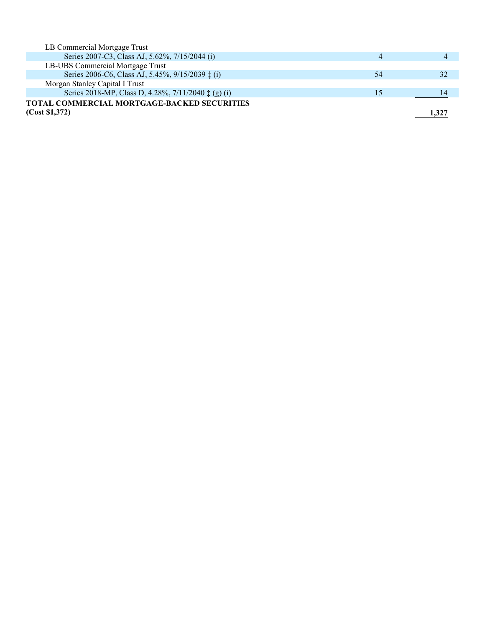| LB Commercial Mortgage Trust                                 |    |       |
|--------------------------------------------------------------|----|-------|
| Series 2007-C3, Class AJ, 5.62%, 7/15/2044 (i)               | 4  |       |
| LB-UBS Commercial Mortgage Trust                             |    |       |
| Series 2006-C6, Class AJ, 5.45%, 9/15/2039 ‡ (i)             | 54 |       |
| Morgan Stanley Capital I Trust                               |    |       |
| Series 2018-MP, Class D, 4.28%, 7/11/2040 $\ddagger$ (g) (i) | 15 |       |
| TOTAL COMMERCIAL MORTGAGE-BACKED SECURITIES                  |    |       |
| (Cost \$1,372)                                               |    | 1.327 |
|                                                              |    |       |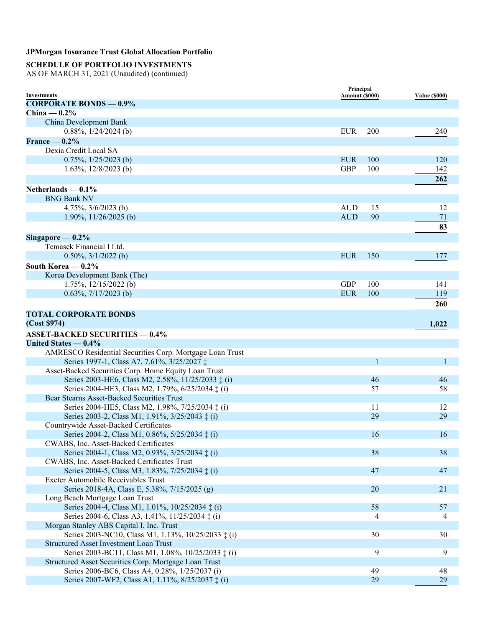# **SCHEDULE OF PORTFOLIO INVESTMENTS**

|                                                            | Principal      |     |                      |
|------------------------------------------------------------|----------------|-----|----------------------|
| <b>Investments</b>                                         | Amount (\$000) |     | <b>Value (\$000)</b> |
| <b>CORPORATE BONDS - 0.9%</b>                              |                |     |                      |
| China $-0.2\%$                                             |                |     |                      |
| China Development Bank                                     |                |     |                      |
| $0.88\%, 1/24/2024$ (b)                                    | <b>EUR</b>     | 200 | 240                  |
| France $-0.2%$                                             |                |     |                      |
| Dexia Credit Local SA                                      |                |     |                      |
| $0.75\%, 1/25/2023$ (b)                                    | <b>EUR</b>     | 100 | 120                  |
| 1.63%, $12/8/2023$ (b)                                     | <b>GBP</b>     | 100 | 142                  |
|                                                            |                |     | 262                  |
| Netherlands $-0.1\%$                                       |                |     |                      |
| <b>BNG Bank NV</b>                                         |                |     |                      |
| 4.75%, $3/6/2023$ (b)                                      | <b>AUD</b>     | 15  | 12                   |
| 1.90%, $11/26/2025$ (b)                                    | <b>AUD</b>     | 90  | 71                   |
|                                                            |                |     | 83                   |
| Singapore $-0.2\%$                                         |                |     |                      |
| Temasek Financial I Ltd.                                   |                |     |                      |
| $0.50\%, \frac{3}{12022}$ (b)                              | <b>EUR</b>     | 150 | 177                  |
| South Korea $-0.2\%$                                       |                |     |                      |
| Korea Development Bank (The)                               |                |     |                      |
| $1.75\%, 12/15/2022$ (b)                                   | <b>GBP</b>     | 100 | 141                  |
| $0.63\%, \frac{7}{17/2023}$ (b)                            | <b>EUR</b>     | 100 | 119                  |
|                                                            |                |     | 260                  |
|                                                            |                |     |                      |
| <b>TOTAL CORPORATE BONDS</b>                               |                |     |                      |
| (Cost \$974)                                               |                |     | 1,022                |
| <b>ASSET-BACKED SECURITIES - 0.4%</b>                      |                |     |                      |
| United States - 0.4%                                       |                |     |                      |
| AMRESCO Residential Securities Corp. Mortgage Loan Trust   |                |     |                      |
| Series 1997-1, Class A7, 7.61%, 3/25/2027 ‡                |                | 1   | 1                    |
| Asset-Backed Securities Corp. Home Equity Loan Trust       |                |     |                      |
| Series 2003-HE6, Class M2, 2.58%, 11/25/2033 ‡ (i)         |                | 46  | 46                   |
| Series 2004-HE3, Class M2, 1.79%, 6/25/2034 ‡ (i)          |                | 57  | 58                   |
| Bear Stearns Asset-Backed Securities Trust                 |                |     |                      |
| Series 2004-HE5, Class M2, 1.98%, 7/25/2034 $\ddagger$ (i) |                | 11  | 12                   |
| Series 2003-2, Class M1, 1.91%, 3/25/2043 ‡ (i)            |                | 29  | 29                   |
| Countrywide Asset-Backed Certificates                      |                |     |                      |
| Series 2004-2, Class M1, 0.86%, 5/25/2034 ‡ (i)            |                | 16  | 16                   |
| CWABS, Inc. Asset-Backed Certificates                      |                |     |                      |
| Series 2004-1, Class M2, 0.93%, 3/25/2034 ‡ (i)            |                | 38  | 38                   |
| CWABS, Inc. Asset-Backed Certificates Trust                |                |     |                      |
| Series 2004-5, Class M3, 1.83%, 7/25/2034 ‡ (i)            |                | 47  | 47                   |
| Exeter Automobile Receivables Trust                        |                |     |                      |
| Series 2018-4A, Class E, 5.38%, 7/15/2025 (g)              |                | 20  | 21                   |
| Long Beach Mortgage Loan Trust                             |                |     |                      |
| Series 2004-4, Class M1, 1.01%, 10/25/2034 ‡ (i)           |                | 58  | 57                   |
| Series 2004-6, Class A3, 1.41%, 11/25/2034 $\ddagger$ (i)  |                | 4   | 4                    |
| Morgan Stanley ABS Capital I, Inc. Trust                   |                |     |                      |
| Series 2003-NC10, Class M1, 1.13%, 10/25/2033 ‡ (i)        |                | 30  | 30                   |
| <b>Structured Asset Investment Loan Trust</b>              |                |     |                      |
| Series 2003-BC11, Class M1, 1.08%, 10/25/2033 ‡ (i)        |                | 9   | 9                    |
| Structured Asset Securities Corp. Mortgage Loan Trust      |                |     |                      |
| Series 2006-BC6, Class A4, 0.28%, 1/25/2037 (i)            |                | 49  | 48                   |
| Series 2007-WF2, Class A1, 1.11%, 8/25/2037 ‡ (i)          |                | 29  | 29                   |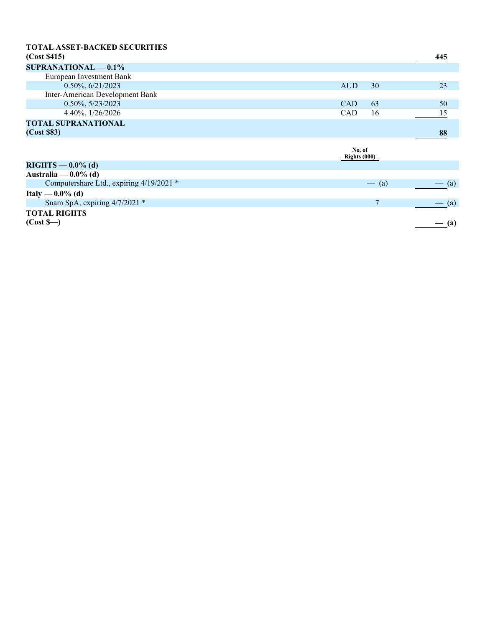| <b>TOTAL ASSET-BACKED SECURITIES</b>     |                          |                |                   |
|------------------------------------------|--------------------------|----------------|-------------------|
| (Cost \$415)                             |                          |                | 445               |
| $SUPRANATIONAL - 0.1%$                   |                          |                |                   |
| European Investment Bank                 |                          |                |                   |
| 0.50%, 6/21/2023                         | <b>AUD</b>               | 30             | 23                |
| Inter-American Development Bank          |                          |                |                   |
| $0.50\%, 5/23/2023$                      | <b>CAD</b>               | 63             | 50                |
| 4.40%, $1/26/2026$                       | <b>CAD</b>               | 16             | 15                |
| <b>TOTAL SUPRANATIONAL</b>               |                          |                |                   |
| (Cost \$83)                              |                          |                | 88                |
|                                          | No. of<br>Rights $(000)$ |                |                   |
| $RIGHTS - 0.0\%$ (d)                     |                          |                |                   |
| Australia — $0.0\%$ (d)                  |                          |                |                   |
| Computershare Ltd., expiring 4/19/2021 * |                          | $-$ (a)        | $\left( a\right)$ |
| Italy — $0.0\%$ (d)                      |                          |                |                   |
| Snam SpA, expiring 4/7/2021 *            |                          | $\overline{7}$ | $-$ (a)           |
| <b>TOTAL RIGHTS</b>                      |                          |                |                   |
| (Cost S <sub>—</sub> )                   |                          |                | $-$ (a)           |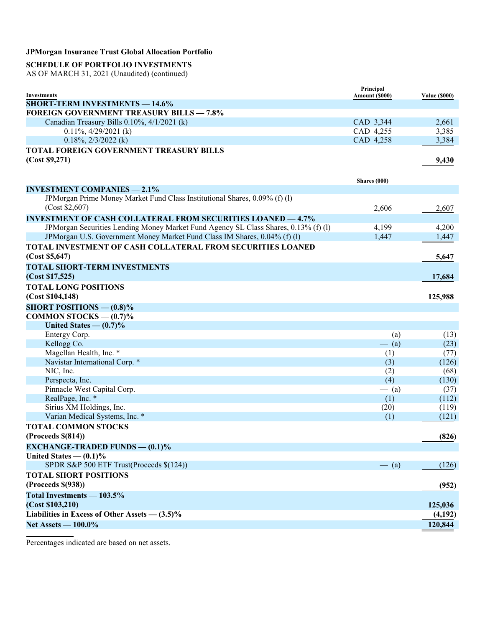# **SCHEDULE OF PORTFOLIO INVESTMENTS**

AS OF MARCH 31, 2021 (Unaudited) (continued)

|                                                                                          | Principal              |                      |
|------------------------------------------------------------------------------------------|------------------------|----------------------|
| Investments                                                                              | Amount (\$000)         | <b>Value (\$000)</b> |
| <b>SHORT-TERM INVESTMENTS - 14.6%</b><br><b>FOREIGN GOVERNMENT TREASURY BILLS - 7.8%</b> |                        |                      |
|                                                                                          |                        |                      |
| Canadian Treasury Bills 0.10%, 4/1/2021 (k)                                              | CAD 3,344              | 2,661                |
| $0.11\%, \frac{4}{29/2021}$ (k)                                                          | CAD 4,255<br>CAD 4,258 | 3,385                |
| $0.18\%, 2/3/2022$ (k)                                                                   |                        | 3,384                |
| TOTAL FOREIGN GOVERNMENT TREASURY BILLS                                                  |                        |                      |
| (Cost \$9,271)                                                                           |                        | 9,430                |
|                                                                                          |                        |                      |
|                                                                                          | Shares (000)           |                      |
| <b>INVESTMENT COMPANIES - 2.1%</b>                                                       |                        |                      |
| JPMorgan Prime Money Market Fund Class Institutional Shares, 0.09% (f) (l)               |                        |                      |
| (Cost \$2,607)                                                                           | 2,606                  | 2,607                |
| <b>INVESTMENT OF CASH COLLATERAL FROM SECURITIES LOANED - 4.7%</b>                       |                        |                      |
| JPMorgan Securities Lending Money Market Fund Agency SL Class Shares, 0.13% (f) (l)      | 4,199                  | 4,200                |
| JPMorgan U.S. Government Money Market Fund Class IM Shares, 0.04% (f) (l)                | 1,447                  | 1,447                |
| TOTAL INVESTMENT OF CASH COLLATERAL FROM SECURITIES LOANED                               |                        |                      |
| (Cost \$5,647)                                                                           |                        | 5,647                |
| <b>TOTAL SHORT-TERM INVESTMENTS</b>                                                      |                        |                      |
| (Cost \$17,525)                                                                          |                        | 17,684               |
| <b>TOTAL LONG POSITIONS</b>                                                              |                        |                      |
| (Cost \$104, 148)                                                                        |                        |                      |
|                                                                                          |                        | 125,988              |
| <b>SHORT POSITIONS — <math>(0.8)\%</math></b>                                            |                        |                      |
| COMMON STOCKS $-$ (0.7)%                                                                 |                        |                      |
| United States $- (0.7)\%$                                                                |                        |                      |
| Entergy Corp.                                                                            | $-$ (a)                | (13)                 |
| Kellogg Co.                                                                              | $-$ (a)                | (23)                 |
| Magellan Health, Inc. *                                                                  | (1)                    | (77)                 |
| Navistar International Corp. *                                                           | (3)                    | (126)                |
| NIC, Inc.                                                                                | (2)                    | (68)                 |
| Perspecta, Inc.                                                                          | (4)                    | (130)                |
| Pinnacle West Capital Corp.                                                              | $-$ (a)                | (37)                 |
| RealPage, Inc. *                                                                         | (1)                    | (112)                |
| Sirius XM Holdings, Inc.                                                                 | (20)                   | (119)                |
| Varian Medical Systems, Inc. *                                                           | (1)                    | (121)                |
| <b>TOTAL COMMON STOCKS</b>                                                               |                        |                      |
| (Process \$(814))                                                                        |                        | (826)                |
| <b>EXCHANGE-TRADED FUNDS — <math>(0.1)\%</math></b>                                      |                        |                      |
| United States $- (0.1)\%$                                                                |                        |                      |
| SPDR S&P 500 ETF Trust(Proceeds \$(124))                                                 | $-$ (a)                | (126)                |
| <b>TOTAL SHORT POSITIONS</b>                                                             |                        |                      |
| (Process \$(938))                                                                        |                        | (952)                |
| Total Investments - 103.5%                                                               |                        |                      |
| (Cost \$103,210)                                                                         |                        | 125,036              |
| Liabilities in Excess of Other Assets $- (3.5)\%$                                        |                        | (4,192)              |
| Net Assets - 100.0%                                                                      |                        | 120,844              |
|                                                                                          |                        |                      |

Percentages indicated are based on net assets.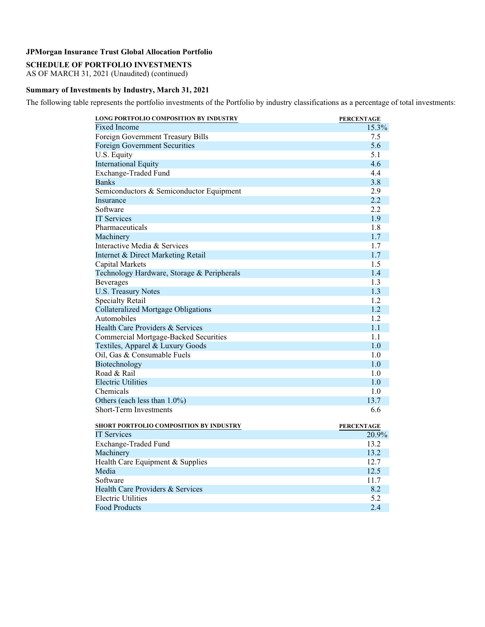# **SCHEDULE OF PORTFOLIO INVESTMENTS**

AS OF MARCH 31, 2021 (Unaudited) (continued)

### **Summary of Investments by Industry, March 31, 2021**

The following table represents the portfolio investments of the Portfolio by industry classifications as a percentage of total investments:

| LONG PORTFOLIO COMPOSITION BY INDUSTRY       | <b>PERCENTAGE</b> |
|----------------------------------------------|-------------------|
| <b>Fixed Income</b>                          | 15.3%             |
| Foreign Government Treasury Bills            | 7.5               |
| <b>Foreign Government Securities</b>         | 5.6               |
| U.S. Equity                                  | 5.1               |
| <b>International Equity</b>                  | 4.6               |
| Exchange-Traded Fund                         | 4.4               |
| <b>Banks</b>                                 | 3.8               |
| Semiconductors & Semiconductor Equipment     | 2.9               |
| Insurance                                    | 2.2               |
| Software                                     | 2.2               |
| <b>IT Services</b>                           | 1.9               |
| Pharmaceuticals                              | 1.8               |
| Machinery                                    | 1.7               |
| Interactive Media & Services                 | 1.7               |
| Internet & Direct Marketing Retail           | 1.7               |
| Capital Markets                              | 1.5               |
| Technology Hardware, Storage & Peripherals   | 1.4               |
| <b>Beverages</b>                             | 1.3               |
| <b>U.S. Treasury Notes</b>                   | 1.3               |
| <b>Specialty Retail</b>                      | 1.2               |
| <b>Collateralized Mortgage Obligations</b>   | 1.2               |
| Automobiles                                  | 1.2               |
| Health Care Providers & Services             | 1.1               |
| <b>Commercial Mortgage-Backed Securities</b> | 1.1               |
| Textiles, Apparel & Luxury Goods             | 1.0               |
| Oil, Gas & Consumable Fuels                  | 1.0               |
| Biotechnology                                | 1.0               |
| Road & Rail                                  | 1.0               |
| <b>Electric Utilities</b>                    | 1.0               |
| Chemicals                                    | 1.0               |
| Others (each less than 1.0%)                 | 13.7              |
| <b>Short-Term Investments</b>                | 6.6               |
| SHORT PORTFOLIO COMPOSITION BY INDUSTRY      | <b>PERCENTAGE</b> |
| <b>IT Services</b>                           | 20.9%             |
| Exchange-Traded Fund                         | 13.2              |
| Machinery                                    | 13.2              |
|                                              |                   |

| Machinery                        | 13.2 |
|----------------------------------|------|
| Health Care Equipment & Supplies | 12.7 |
| Media                            | 12.5 |
| Software                         | 11.7 |
| Health Care Providers & Services | 8.2  |
| <b>Electric Utilities</b>        | 5.2  |
| <b>Food Products</b>             | 2.4  |
|                                  |      |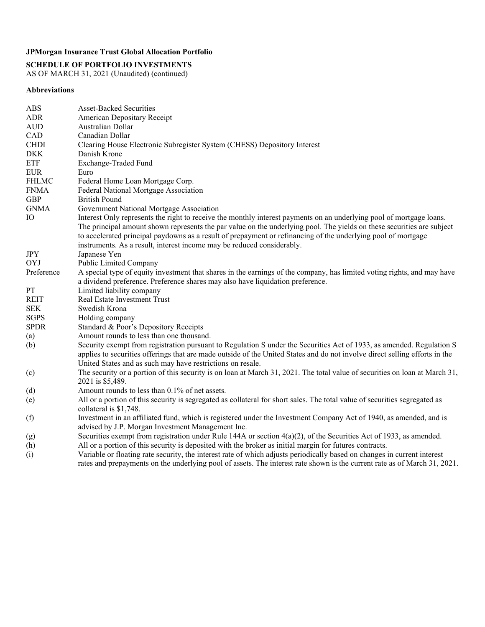**SCHEDULE OF PORTFOLIO INVESTMENTS** 

AS OF MARCH 31, 2021 (Unaudited) (continued)

### **Abbreviations**

| <b>ABS</b>   | <b>Asset-Backed Securities</b>                                                                                                                                                                                                                                                                                                                                                                                                            |
|--------------|-------------------------------------------------------------------------------------------------------------------------------------------------------------------------------------------------------------------------------------------------------------------------------------------------------------------------------------------------------------------------------------------------------------------------------------------|
| <b>ADR</b>   | American Depositary Receipt                                                                                                                                                                                                                                                                                                                                                                                                               |
| <b>AUD</b>   | Australian Dollar                                                                                                                                                                                                                                                                                                                                                                                                                         |
| CAD          | Canadian Dollar                                                                                                                                                                                                                                                                                                                                                                                                                           |
| <b>CHDI</b>  | Clearing House Electronic Subregister System (CHESS) Depository Interest                                                                                                                                                                                                                                                                                                                                                                  |
| <b>DKK</b>   | Danish Krone                                                                                                                                                                                                                                                                                                                                                                                                                              |
| <b>ETF</b>   | Exchange-Traded Fund                                                                                                                                                                                                                                                                                                                                                                                                                      |
| <b>EUR</b>   | Euro                                                                                                                                                                                                                                                                                                                                                                                                                                      |
| <b>FHLMC</b> | Federal Home Loan Mortgage Corp.                                                                                                                                                                                                                                                                                                                                                                                                          |
| <b>FNMA</b>  | Federal National Mortgage Association                                                                                                                                                                                                                                                                                                                                                                                                     |
| <b>GBP</b>   | <b>British Pound</b>                                                                                                                                                                                                                                                                                                                                                                                                                      |
| <b>GNMA</b>  | Government National Mortgage Association                                                                                                                                                                                                                                                                                                                                                                                                  |
| IO           | Interest Only represents the right to receive the monthly interest payments on an underlying pool of mortgage loans.<br>The principal amount shown represents the par value on the underlying pool. The yields on these securities are subject<br>to accelerated principal paydowns as a result of prepayment or refinancing of the underlying pool of mortgage<br>instruments. As a result, interest income may be reduced considerably. |
| <b>JPY</b>   | Japanese Yen                                                                                                                                                                                                                                                                                                                                                                                                                              |
| OYJ          | Public Limited Company                                                                                                                                                                                                                                                                                                                                                                                                                    |
| Preference   | A special type of equity investment that shares in the earnings of the company, has limited voting rights, and may have<br>a dividend preference. Preference shares may also have liquidation preference.                                                                                                                                                                                                                                 |
| PT           | Limited liability company                                                                                                                                                                                                                                                                                                                                                                                                                 |
| <b>REIT</b>  | Real Estate Investment Trust                                                                                                                                                                                                                                                                                                                                                                                                              |
| <b>SEK</b>   | Swedish Krona                                                                                                                                                                                                                                                                                                                                                                                                                             |
| <b>SGPS</b>  | Holding company                                                                                                                                                                                                                                                                                                                                                                                                                           |
| <b>SPDR</b>  | Standard & Poor's Depository Receipts                                                                                                                                                                                                                                                                                                                                                                                                     |
| (a)          | Amount rounds to less than one thousand.                                                                                                                                                                                                                                                                                                                                                                                                  |
| (b)          | Security exempt from registration pursuant to Regulation S under the Securities Act of 1933, as amended. Regulation S<br>applies to securities offerings that are made outside of the United States and do not involve direct selling efforts in the<br>United States and as such may have restrictions on resale.                                                                                                                        |
| (c)          | The security or a portion of this security is on loan at March 31, 2021. The total value of securities on loan at March 31,<br>2021 is \$5,489.                                                                                                                                                                                                                                                                                           |
| (d)          | Amount rounds to less than 0.1% of net assets.                                                                                                                                                                                                                                                                                                                                                                                            |
| (e)          | All or a portion of this security is segregated as collateral for short sales. The total value of securities segregated as<br>collateral is \$1,748.                                                                                                                                                                                                                                                                                      |
| (f)          | Investment in an affiliated fund, which is registered under the Investment Company Act of 1940, as amended, and is<br>advised by J.P. Morgan Investment Management Inc.                                                                                                                                                                                                                                                                   |
| (g)          | Securities exempt from registration under Rule 144A or section $4(a)(2)$ , of the Securities Act of 1933, as amended.                                                                                                                                                                                                                                                                                                                     |
| (h)          | All or a portion of this security is deposited with the broker as initial margin for futures contracts.                                                                                                                                                                                                                                                                                                                                   |
| (i)          | Variable or floating rate security, the interest rate of which adjusts periodically based on changes in current interest<br>rates and prepayments on the underlying pool of assets. The interest rate shown is the current rate as of March 31, 2021.                                                                                                                                                                                     |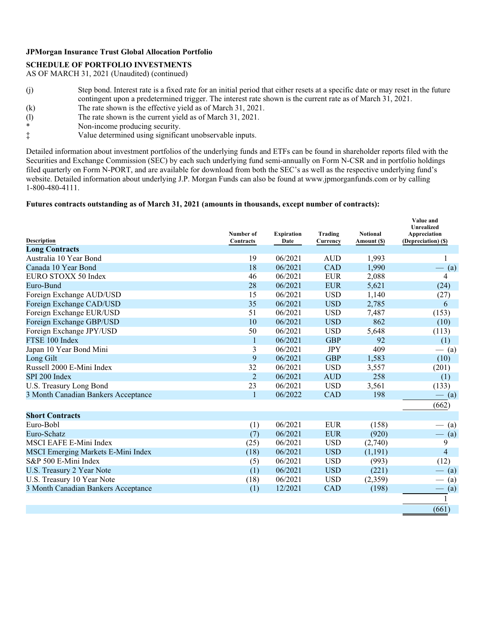## **SCHEDULE OF PORTFOLIO INVESTMENTS**

AS OF MARCH 31, 2021 (Unaudited) (continued)

- (j) Step bond. Interest rate is a fixed rate for an initial period that either resets at a specific date or may reset in the future contingent upon a predetermined trigger. The interest rate shown is the current rate as of March 31, 2021.
- (k) The rate shown is the effective yield as of March 31, 2021.
- (l) The rate shown is the current yield as of March 31, 2021.<br>Non-income producing security
- \* Non-income producing security.<br>
Yalue determined using signification
- Value determined using significant unobservable inputs.

Detailed information about investment portfolios of the underlying funds and ETFs can be found in shareholder reports filed with the Securities and Exchange Commission (SEC) by each such underlying fund semi-annually on Form N-CSR and in portfolio holdings filed quarterly on Form N-PORT, and are available for download from both the SEC's as well as the respective underlying fund's website. Detailed information about underlying J.P. Morgan Funds can also be found at www.jpmorganfunds.com or by calling 1-800-480-4111.

### **Futures contracts outstanding as of March 31, 2021 (amounts in thousands, except number of contracts):**

|                                     | Number of      | <b>Expiration</b> | Trading    | <b>Notional</b> | Value and<br>Unrealized<br>Appreciation |
|-------------------------------------|----------------|-------------------|------------|-----------------|-----------------------------------------|
| <b>Description</b>                  | Contracts      | Date              | Currency   | Amount (\$)     | (Depreciation) (\$)                     |
| <b>Long Contracts</b>               |                |                   |            |                 |                                         |
| Australia 10 Year Bond              | 19             | 06/2021           | <b>AUD</b> | 1,993           |                                         |
| Canada 10 Year Bond                 | 18             | 06/2021           | <b>CAD</b> | 1,990           | $-$ (a)                                 |
| EURO STOXX 50 Index                 | 46             | 06/2021           | <b>EUR</b> | 2,088           | 4                                       |
| Euro-Bund                           | 28             | 06/2021           | <b>EUR</b> | 5,621           | (24)                                    |
| Foreign Exchange AUD/USD            | 15             | 06/2021           | <b>USD</b> | 1,140           | (27)                                    |
| Foreign Exchange CAD/USD            | 35             | 06/2021           | <b>USD</b> | 2,785           | 6                                       |
| Foreign Exchange EUR/USD            | 51             | 06/2021           | <b>USD</b> | 7,487           | (153)                                   |
| Foreign Exchange GBP/USD            | 10             | 06/2021           | <b>USD</b> | 862             | (10)                                    |
| Foreign Exchange JPY/USD            | 50             | 06/2021           | <b>USD</b> | 5,648           | (113)                                   |
| FTSE 100 Index                      | 1              | 06/2021           | <b>GBP</b> | 92              | (1)                                     |
| Japan 10 Year Bond Mini             | 3              | 06/2021           | <b>JPY</b> | 409             | $-$ (a)                                 |
| Long Gilt                           | 9              | 06/2021           | <b>GBP</b> | 1,583           | (10)                                    |
| Russell 2000 E-Mini Index           | 32             | 06/2021           | <b>USD</b> | 3,557           | (201)                                   |
| SPI 200 Index                       | $\overline{2}$ | 06/2021           | <b>AUD</b> | 258             | (1)                                     |
| U.S. Treasury Long Bond             | 23             | 06/2021           | <b>USD</b> | 3,561           | (133)                                   |
| 3 Month Canadian Bankers Acceptance | $\mathbf{1}$   | 06/2022           | <b>CAD</b> | 198             | $-$ (a)                                 |
|                                     |                |                   |            |                 | (662)                                   |
| <b>Short Contracts</b>              |                |                   |            |                 |                                         |
| Euro-Bobl                           | (1)            | 06/2021           | <b>EUR</b> | (158)           | (a)                                     |
| Euro-Schatz                         | (7)            | 06/2021           | <b>EUR</b> | (920)           | (a)                                     |
| MSCI EAFE E-Mini Index              | (25)           | 06/2021           | <b>USD</b> | (2,740)         | 9                                       |
| MSCI Emerging Markets E-Mini Index  | (18)           | 06/2021           | <b>USD</b> | (1, 191)        | $\overline{\mathcal{L}}$                |
| S&P 500 E-Mini Index                | (5)            | 06/2021           | <b>USD</b> | (993)           | (12)                                    |
| U.S. Treasury 2 Year Note           | (1)            | 06/2021           | <b>USD</b> | (221)           | $-$ (a)                                 |
| U.S. Treasury 10 Year Note          | (18)           | 06/2021           | <b>USD</b> | (2,359)         | $-$ (a)                                 |
| 3 Month Canadian Bankers Acceptance | (1)            | 12/2021           | <b>CAD</b> | (198)           | $-$ (a)                                 |
|                                     |                |                   |            |                 |                                         |
|                                     |                |                   |            |                 | (661)                                   |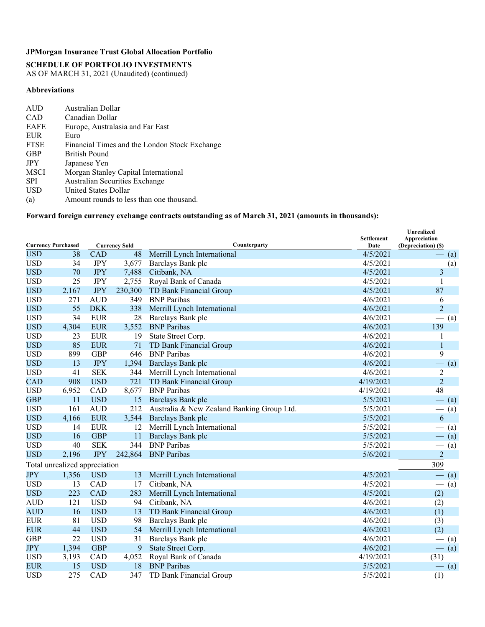## **SCHEDULE OF PORTFOLIO INVESTMENTS**

AS OF MARCH 31, 2021 (Unaudited) (continued)

### **Abbreviations**

| AUD         | Australian Dollar                             |
|-------------|-----------------------------------------------|
| <b>CAD</b>  | Canadian Dollar                               |
| <b>EAFE</b> | Europe, Australasia and Far East              |
| <b>EUR</b>  | Euro                                          |
| <b>FTSE</b> | Financial Times and the London Stock Exchange |
| <b>GBP</b>  | <b>British Pound</b>                          |
| <b>JPY</b>  | Japanese Yen                                  |
| <b>MSCI</b> | Morgan Stanley Capital International          |
| <b>SPI</b>  | <b>Australian Securities Exchange</b>         |
| <b>USD</b>  | United States Dollar                          |
| (a)         | Amount rounds to less than one thousand.      |

## **Forward foreign currency exchange contracts outstanding as of March 31, 2021 (amounts in thousands):**

| <b>Currency Purchased</b><br><b>Currency Sold</b> |                               |            |                 | Counterparty                               | <b>Settlement</b><br>Date | <b>Unrealized</b><br>Appreciation<br>(Depreciation) (\$) |
|---------------------------------------------------|-------------------------------|------------|-----------------|--------------------------------------------|---------------------------|----------------------------------------------------------|
| <b>USD</b>                                        | 38                            | <b>CAD</b> | $\overline{48}$ | Merrill Lynch International                | 4/5/2021                  | (a)                                                      |
| <b>USD</b>                                        | 34                            | <b>JPY</b> | 3,677           | Barclays Bank plc                          | 4/5/2021                  | (a)                                                      |
| <b>USD</b>                                        | 70                            | <b>JPY</b> | 7,488           | Citibank, NA                               | 4/5/2021                  | 3                                                        |
| <b>USD</b>                                        | 25                            | <b>JPY</b> | 2,755           | Royal Bank of Canada                       | 4/5/2021                  | 1                                                        |
| <b>USD</b>                                        | 2,167                         | <b>JPY</b> | 230,300         | TD Bank Financial Group                    | 4/5/2021                  | 87                                                       |
| <b>USD</b>                                        | 271                           | <b>AUD</b> | 349             | <b>BNP</b> Paribas                         | 4/6/2021                  | 6                                                        |
| <b>USD</b>                                        | 55                            | <b>DKK</b> | 338             | Merrill Lynch International                | 4/6/2021                  | $\overline{2}$                                           |
| <b>USD</b>                                        | 34                            | <b>EUR</b> | 28              | Barclays Bank plc                          | 4/6/2021                  | (a)                                                      |
| <b>USD</b>                                        | 4,304                         | <b>EUR</b> | 3,552           | <b>BNP</b> Paribas                         | 4/6/2021                  | 139                                                      |
| <b>USD</b>                                        | 23                            | <b>EUR</b> | 19              | State Street Corp.                         | 4/6/2021                  | 1                                                        |
| <b>USD</b>                                        | 85                            | <b>EUR</b> | 71              | TD Bank Financial Group                    | 4/6/2021                  | 1                                                        |
| <b>USD</b>                                        | 899                           | <b>GBP</b> | 646             | <b>BNP</b> Paribas                         | 4/6/2021                  | 9                                                        |
| <b>USD</b>                                        | 13                            | <b>JPY</b> | 1,394           | Barclays Bank plc                          | 4/6/2021                  | $-$ (a)                                                  |
| <b>USD</b>                                        | 41                            | <b>SEK</b> | 344             | Merrill Lynch International                | 4/6/2021                  | $\overline{2}$                                           |
| <b>CAD</b>                                        | 908                           | <b>USD</b> | 721             | TD Bank Financial Group                    | 4/19/2021                 | $\overline{2}$                                           |
| <b>USD</b>                                        | 6,952                         | CAD        | 8,677           | <b>BNP</b> Paribas                         | 4/19/2021                 | 48                                                       |
| <b>GBP</b>                                        | 11                            | <b>USD</b> | 15              | Barclays Bank plc                          | 5/5/2021                  | $-$ (a)                                                  |
| <b>USD</b>                                        | 161                           | <b>AUD</b> | 212             | Australia & New Zealand Banking Group Ltd. | 5/5/2021                  | $-$ (a)                                                  |
| <b>USD</b>                                        | 4,166                         | <b>EUR</b> | 3,544           | Barclays Bank plc                          | 5/5/2021                  | 6                                                        |
| <b>USD</b>                                        | 14                            | <b>EUR</b> | 12              | Merrill Lynch International                | 5/5/2021                  | (a)                                                      |
| <b>USD</b>                                        | 16                            | <b>GBP</b> | 11              | Barclays Bank plc                          | 5/5/2021                  | $-$ (a)                                                  |
| <b>USD</b>                                        | 40                            | <b>SEK</b> | 344             | <b>BNP</b> Paribas                         | 5/5/2021                  | (a)                                                      |
| <b>USD</b>                                        | 2,196                         | <b>JPY</b> | 242,864         | <b>BNP</b> Paribas                         | 5/6/2021                  | $\overline{c}$                                           |
|                                                   | Total unrealized appreciation |            |                 |                                            |                           | 309                                                      |
| <b>JPY</b>                                        | 1,356                         | <b>USD</b> | 13              | Merrill Lynch International                | 4/5/2021                  | $-$ (a)                                                  |
| <b>USD</b>                                        | 13                            | CAD        | 17              | Citibank, NA                               | 4/5/2021                  | $\frac{1}{1}$<br>(a)                                     |
| <b>USD</b>                                        | 223                           | <b>CAD</b> | 283             | Merrill Lynch International                | 4/5/2021                  | (2)                                                      |
| <b>AUD</b>                                        | 121                           | <b>USD</b> | 94              | Citibank, NA                               | 4/6/2021                  | (2)                                                      |
| <b>AUD</b>                                        | 16                            | <b>USD</b> | 13              | TD Bank Financial Group                    | 4/6/2021                  | (1)                                                      |
| <b>EUR</b>                                        | 81                            | <b>USD</b> | 98              | Barclays Bank plc                          | 4/6/2021                  | (3)                                                      |
| <b>EUR</b>                                        | 44                            | <b>USD</b> | 54              | Merrill Lynch International                | 4/6/2021                  | (2)                                                      |
| <b>GBP</b>                                        | 22                            | <b>USD</b> | 31              | Barclays Bank plc                          | 4/6/2021                  | (a)                                                      |
| <b>JPY</b>                                        | 1,394                         | <b>GBP</b> | 9               | State Street Corp.                         | 4/6/2021                  | $-$ (a)                                                  |
| <b>USD</b>                                        | 3,193                         | CAD        | 4,052           | Royal Bank of Canada                       | 4/19/2021                 | (31)                                                     |
| <b>EUR</b>                                        | 15                            | <b>USD</b> | 18              | <b>BNP</b> Paribas                         | 5/5/2021                  | $-$ (a)                                                  |
| <b>USD</b>                                        | 275                           | CAD        | 347             | TD Bank Financial Group                    | 5/5/2021                  | (1)                                                      |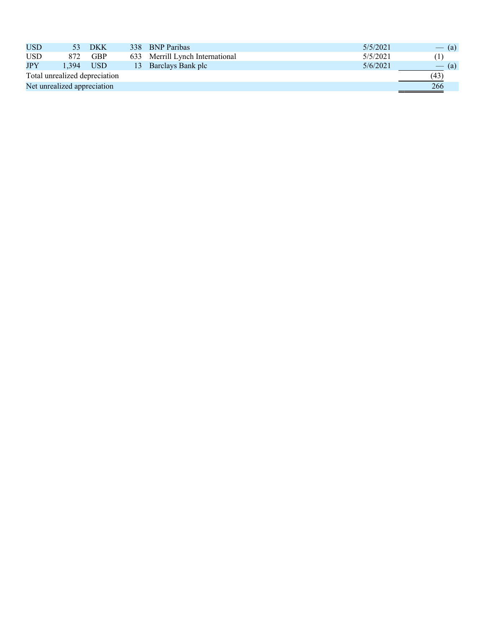| USD        | 53                            | <b>DKK</b> | 338 BNP Paribas                 | 5/5/2021 | $-$ (a) |
|------------|-------------------------------|------------|---------------------------------|----------|---------|
| <b>USD</b> | 872.                          | <b>GBP</b> | 633 Merrill Lynch International | 5/5/2021 |         |
| JPY        | .394                          | <b>USD</b> | 13 Barclays Bank plc            | 5/6/2021 | $-$ (a) |
|            | Total unrealized depreciation |            |                                 |          | (43)    |
|            | Net unrealized appreciation   |            |                                 |          | 266     |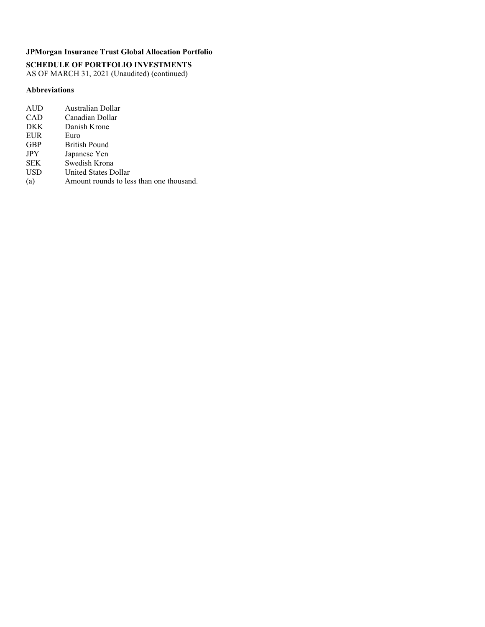**SCHEDULE OF PORTFOLIO INVESTMENTS**  AS OF MARCH 31, 2021 (Unaudited) (continued)

### **Abbreviations**

| AUD        | Australian Dollar                        |
|------------|------------------------------------------|
| <b>CAD</b> | Canadian Dollar                          |
| <b>DKK</b> | Danish Krone                             |
| <b>EUR</b> | Euro                                     |
| <b>GBP</b> | <b>British Pound</b>                     |
| <b>JPY</b> | Japanese Yen                             |
| <b>SEK</b> | Swedish Krona                            |
| <b>USD</b> | <b>United States Dollar</b>              |
| (a)        | Amount rounds to less than one thousand. |
|            |                                          |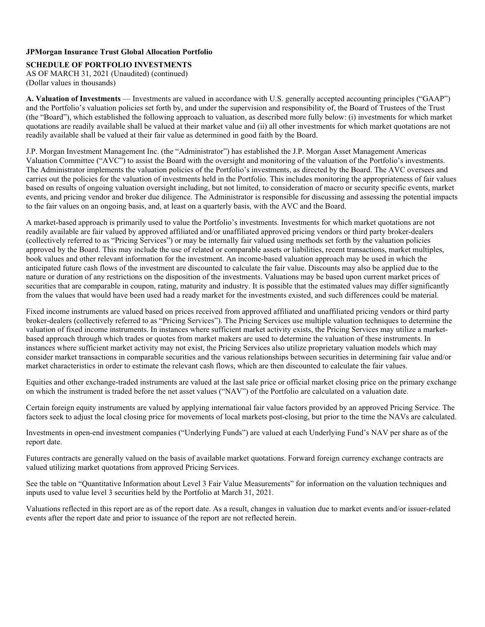**SCHEDULE OF PORTFOLIO INVESTMENTS** 

AS OF MARCH 31, 2021 (Unaudited) (continued) (Dollar values in thousands)

**A. Valuation of Investments** — Investments are valued in accordance with U.S. generally accepted accounting principles ("GAAP") and the Portfolio's valuation policies set forth by, and under the supervision and responsibility of, the Board of Trustees of the Trust (the "Board"), which established the following approach to valuation, as described more fully below: (i) investments for which market quotations are readily available shall be valued at their market value and (ii) all other investments for which market quotations are not readily available shall be valued at their fair value as determined in good faith by the Board.

J.P. Morgan Investment Management Inc. (the "Administrator") has established the J.P. Morgan Asset Management Americas Valuation Committee ("AVC") to assist the Board with the oversight and monitoring of the valuation of the Portfolio's investments. The Administrator implements the valuation policies of the Portfolio's investments, as directed by the Board. The AVC oversees and carries out the policies for the valuation of investments held in the Portfolio. This includes monitoring the appropriateness of fair values based on results of ongoing valuation oversight including, but not limited, to consideration of macro or security specific events, market events, and pricing vendor and broker due diligence. The Administrator is responsible for discussing and assessing the potential impacts to the fair values on an ongoing basis, and, at least on a quarterly basis, with the AVC and the Board.

A market-based approach is primarily used to value the Portfolio's investments. Investments for which market quotations are not readily available are fair valued by approved affiliated and/or unaffiliated approved pricing vendors or third party broker-dealers (collectively referred to as "Pricing Services") or may be internally fair valued using methods set forth by the valuation policies approved by the Board. This may include the use of related or comparable assets or liabilities, recent transactions, market multiples, book values and other relevant information for the investment. An income-based valuation approach may be used in which the anticipated future cash flows of the investment are discounted to calculate the fair value. Discounts may also be applied due to the nature or duration of any restrictions on the disposition of the investments. Valuations may be based upon current market prices of securities that are comparable in coupon, rating, maturity and industry. It is possible that the estimated values may differ significantly from the values that would have been used had a ready market for the investments existed, and such differences could be material.

Fixed income instruments are valued based on prices received from approved affiliated and unaffiliated pricing vendors or third party broker-dealers (collectively referred to as "Pricing Services"). The Pricing Services use multiple valuation techniques to determine the valuation of fixed income instruments. In instances where sufficient market activity exists, the Pricing Services may utilize a marketbased approach through which trades or quotes from market makers are used to determine the valuation of these instruments. In instances where sufficient market activity may not exist, the Pricing Services also utilize proprietary valuation models which may consider market transactions in comparable securities and the various relationships between securities in determining fair value and/or market characteristics in order to estimate the relevant cash flows, which are then discounted to calculate the fair values.

Equities and other exchange-traded instruments are valued at the last sale price or official market closing price on the primary exchange on which the instrument is traded before the net asset values ("NAV") of the Portfolio are calculated on a valuation date.

Certain foreign equity instruments are valued by applying international fair value factors provided by an approved Pricing Service. The factors seek to adjust the local closing price for movements of local markets post-closing, but prior to the time the NAVs are calculated.

Investments in open-end investment companies ("Underlying Funds") are valued at each Underlying Fund's NAV per share as of the report date.

Futures contracts are generally valued on the basis of available market quotations. Forward foreign currency exchange contracts are valued utilizing market quotations from approved Pricing Services.

See the table on "Quantitative Information about Level 3 Fair Value Measurements" for information on the valuation techniques and inputs used to value level 3 securities held by the Portfolio at March 31, 2021.

Valuations reflected in this report are as of the report date. As a result, changes in valuation due to market events and/or issuer-related events after the report date and prior to issuance of the report are not reflected herein.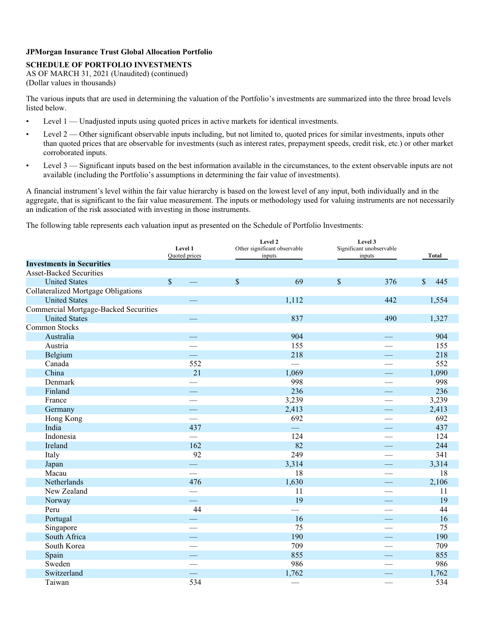## **SCHEDULE OF PORTFOLIO INVESTMENTS**

AS OF MARCH 31, 2021 (Unaudited) (continued) (Dollar values in thousands)

The various inputs that are used in determining the valuation of the Portfolio's investments are summarized into the three broad levels listed below.

- Level 1 Unadjusted inputs using quoted prices in active markets for identical investments.
- Level 2 Other significant observable inputs including, but not limited to, quoted prices for similar investments, inputs other than quoted prices that are observable for investments (such as interest rates, prepayment speeds, credit risk, etc.) or other market corroborated inputs.
- Level 3 Significant inputs based on the best information available in the circumstances, to the extent observable inputs are not available (including the Portfolio's assumptions in determining the fair value of investments).

A financial instrument's level within the fair value hierarchy is based on the lowest level of any input, both individually and in the aggregate, that is significant to the fair value measurement. The inputs or methodology used for valuing instruments are not necessarily an indication of the risk associated with investing in those instruments.

The following table represents each valuation input as presented on the Schedule of Portfolio Investments:

|                                              | Level 1<br>Quoted prices |              | Level 2<br>Other significant observable<br>inputs |              | Level 3<br>Significant unobservable<br>inputs | Total               |  |
|----------------------------------------------|--------------------------|--------------|---------------------------------------------------|--------------|-----------------------------------------------|---------------------|--|
| <b>Investments in Securities</b>             |                          |              |                                                   |              |                                               |                     |  |
| <b>Asset-Backed Securities</b>               |                          |              |                                                   |              |                                               |                     |  |
| <b>United States</b>                         | $\mathbb{S}$             | $\mathbb{S}$ | 69                                                | $\mathbb{S}$ | 376                                           | $\mathbb{S}$<br>445 |  |
| <b>Collateralized Mortgage Obligations</b>   |                          |              |                                                   |              |                                               |                     |  |
| <b>United States</b>                         |                          |              | 1,112                                             |              | 442                                           | 1,554               |  |
| <b>Commercial Mortgage-Backed Securities</b> |                          |              |                                                   |              |                                               |                     |  |
| <b>United States</b>                         |                          |              | 837                                               |              | 490                                           | 1,327               |  |
| Common Stocks                                |                          |              |                                                   |              |                                               |                     |  |
| Australia                                    |                          |              | 904                                               |              |                                               | 904                 |  |
| Austria                                      |                          |              | 155                                               |              |                                               | 155                 |  |
| Belgium                                      |                          |              | 218                                               |              |                                               | 218                 |  |
| Canada                                       | 552                      |              |                                                   |              |                                               | 552                 |  |
| China                                        | 21                       |              | 1,069                                             |              |                                               | 1,090               |  |
| Denmark                                      |                          |              | 998                                               |              |                                               | 998                 |  |
| Finland                                      |                          |              | 236                                               |              |                                               | 236                 |  |
| France                                       | $\overline{\phantom{a}}$ |              | 3,239                                             |              | $\overline{\phantom{0}}$                      | 3,239               |  |
| Germany                                      | $\overline{\phantom{a}}$ |              | 2,413                                             |              |                                               | 2,413               |  |
| Hong Kong                                    |                          |              | 692                                               |              |                                               | 692                 |  |
| India                                        | 437                      |              |                                                   |              |                                               | 437                 |  |
| Indonesia                                    |                          |              | 124                                               |              |                                               | 124                 |  |
| Ireland                                      | 162                      |              | 82                                                |              |                                               | 244                 |  |
| Italy                                        | 92                       |              | 249                                               |              |                                               | 341                 |  |
| Japan                                        | $\overline{\phantom{a}}$ |              | 3,314                                             |              | $\sim$                                        | 3,314               |  |
| Macau                                        | $\overline{\phantom{a}}$ |              | 18                                                |              |                                               | 18                  |  |
| Netherlands                                  | 476                      |              | 1,630                                             |              | $\sim$                                        | 2,106               |  |
| New Zealand                                  | $\overline{\phantom{0}}$ |              | 11                                                |              | $\overline{\phantom{a}}$                      | 11                  |  |
| Norway                                       | <u>e a</u>               |              | 19                                                |              | $\frac{1}{1}$                                 | 19                  |  |
| Peru                                         | 44                       |              |                                                   |              |                                               | 44                  |  |
| Portugal                                     |                          |              | 16                                                |              | $\overline{\phantom{0}}$                      | 16                  |  |
| Singapore                                    |                          |              | 75                                                |              |                                               | 75                  |  |
| South Africa                                 | $\equiv$                 |              | 190                                               |              | $\overbrace{\qquad \qquad }^{}$               | 190                 |  |
| South Korea                                  |                          |              | 709                                               |              |                                               | 709                 |  |
| Spain                                        | <u>e e</u>               |              | 855                                               |              | <u>—</u>                                      | 855                 |  |
| Sweden                                       |                          |              | 986                                               |              |                                               | 986                 |  |
| Switzerland                                  |                          |              | 1,762                                             |              |                                               | 1,762               |  |
| Taiwan                                       | 534                      |              |                                                   |              | $\overline{\phantom{a}}$                      | 534                 |  |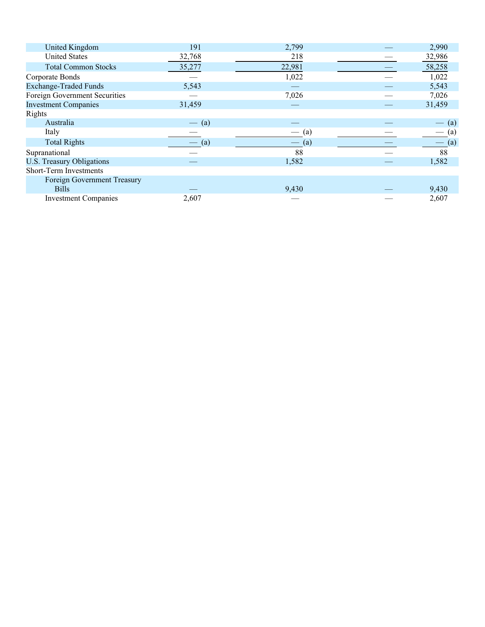| United Kingdom                | 191     | 2,799   | 2,990   |
|-------------------------------|---------|---------|---------|
| <b>United States</b>          | 32,768  | 218     | 32,986  |
| <b>Total Common Stocks</b>    | 35,277  | 22,981  | 58,258  |
| Corporate Bonds               |         | 1,022   | 1,022   |
| <b>Exchange-Traded Funds</b>  | 5,543   |         | 5,543   |
| Foreign Government Securities |         | 7,026   | 7,026   |
| <b>Investment Companies</b>   | 31,459  |         | 31,459  |
| Rights                        |         |         |         |
| Australia                     | $-$ (a) |         | (a)     |
| Italy                         |         | $-$ (a) | (a)     |
| <b>Total Rights</b>           | (a)     | (a)     | $-$ (a) |
| Supranational                 |         | 88      | 88      |
| U.S. Treasury Obligations     |         | 1,582   | 1,582   |
| Short-Term Investments        |         |         |         |
| Foreign Government Treasury   |         |         |         |
| <b>Bills</b>                  |         | 9,430   | 9,430   |
| <b>Investment Companies</b>   | 2,607   |         | 2,607   |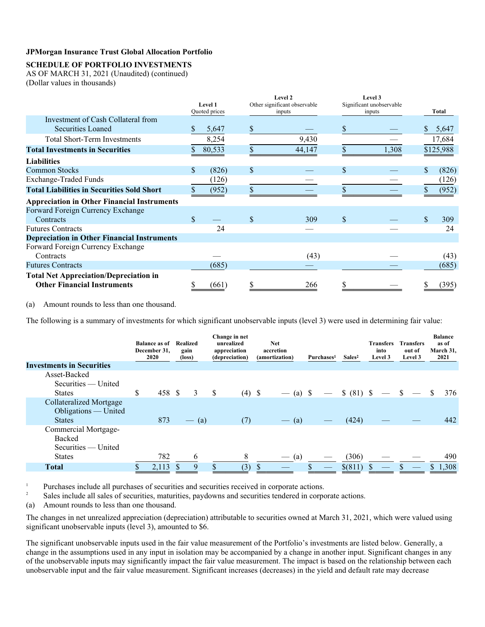## **SCHEDULE OF PORTFOLIO INVESTMENTS**

AS OF MARCH 31, 2021 (Unaudited) (continued) (Dollar values in thousands)

|                                                    |     |                          |              | Level 2                                |              | Level 3                            |    |           |
|----------------------------------------------------|-----|--------------------------|--------------|----------------------------------------|--------------|------------------------------------|----|-----------|
|                                                    |     | Level 1<br>Quoted prices |              | Other significant observable<br>inputs |              | Significant unobservable<br>inputs |    | Total     |
| Investment of Cash Collateral from                 |     |                          |              |                                        |              |                                    |    |           |
| <b>Securities Loaned</b>                           | S.  | 5,647                    | S            |                                        | S            |                                    | S  | 5,647     |
| <b>Total Short-Term Investments</b>                |     | 8,254                    |              | 9,430                                  |              |                                    |    | 17,684    |
| <b>Total Investments in Securities</b>             |     | 80,533                   |              | 44,147                                 |              | 1,308                              |    | \$125,988 |
| <b>Liabilities</b>                                 |     |                          |              |                                        |              |                                    |    |           |
| <b>Common Stocks</b>                               | \$. | (826)                    | $\mathbb{S}$ |                                        | \$           |                                    | \$ | (826)     |
| <b>Exchange-Traded Funds</b>                       |     | (126)                    |              |                                        |              |                                    |    | (126)     |
| <b>Total Liabilities in Securities Sold Short</b>  |     | (952)                    | \$           |                                        |              |                                    |    | (952)     |
| <b>Appreciation in Other Financial Instruments</b> |     |                          |              |                                        |              |                                    |    |           |
| Forward Foreign Currency Exchange                  |     |                          |              |                                        |              |                                    |    |           |
| Contracts                                          | \$. |                          | $\mathbb{S}$ | 309                                    | $\mathbb{S}$ |                                    |    | 309       |
| <b>Futures Contracts</b>                           |     | 24                       |              |                                        |              |                                    |    | 24        |
| <b>Depreciation in Other Financial Instruments</b> |     |                          |              |                                        |              |                                    |    |           |
| Forward Foreign Currency Exchange                  |     |                          |              |                                        |              |                                    |    |           |
| Contracts                                          |     |                          |              | (43)                                   |              |                                    |    | (43)      |
| <b>Futures Contracts</b>                           |     | (685)                    |              |                                        |              |                                    |    | (685)     |
| <b>Total Net Appreciation/Depreciation in</b>      |     |                          |              |                                        |              |                                    |    |           |
| <b>Other Financial Instruments</b>                 |     | (661)                    |              | 266                                    |              |                                    |    | (395)     |

(a) Amount rounds to less than one thousand.

The following is a summary of investments for which significant unobservable inputs (level 3) were used in determining fair value:

| <b>Investments in Securities</b>                                        | <b>Balance as of</b><br>December 31,<br>2020 | <b>Realized</b><br>gain<br>(loss) | Change in net<br>unrealized<br>appreciation<br>(depreciation) |     | <b>Net</b><br>accretion<br>(amortization) | Purchases <sup>1</sup>   | Sales <sup>2</sup> | <b>Transfers</b><br>into<br>Level 3 | <b>Transfers</b><br>out of<br>Level 3 |              | <b>Balance</b><br>as of<br>March 31,<br>2021 |
|-------------------------------------------------------------------------|----------------------------------------------|-----------------------------------|---------------------------------------------------------------|-----|-------------------------------------------|--------------------------|--------------------|-------------------------------------|---------------------------------------|--------------|----------------------------------------------|
| Asset-Backed                                                            |                                              |                                   |                                                               |     |                                           |                          |                    |                                     |                                       |              |                                              |
| Securities — United                                                     |                                              |                                   |                                                               |     |                                           |                          |                    |                                     |                                       |              |                                              |
| <b>States</b>                                                           | \$<br>458 \$                                 | 3                                 | \$<br>$(4)$ \$                                                |     | $-$ (a) $\sqrt{s}$                        | $\overline{\phantom{0}}$ | \$ (81) \$         |                                     |                                       | <sup>S</sup> | 376                                          |
| <b>Collateralized Mortgage</b><br>Obligations — United<br><b>States</b> | 873                                          | $-$ (a)                           | (7)                                                           |     | (a)<br>$\longrightarrow$                  |                          | (424)              |                                     |                                       |              | 442                                          |
| Commercial Mortgage-<br>Backed<br>Securities — United                   |                                              |                                   |                                                               |     |                                           |                          |                    |                                     |                                       |              |                                              |
| <b>States</b>                                                           | 782                                          | 6                                 | 8                                                             |     | (a)<br>$\overline{\phantom{a}}$           |                          | (306)              |                                     |                                       |              | 490                                          |
| <b>Total</b>                                                            | 2,113                                        | 9                                 | (3)                                                           | \$. |                                           |                          | \$(811)            |                                     |                                       |              | 1.308                                        |

Purchases include all purchases of securities and securities received in corporate actions. 1

Sales include all sales of securities, maturities, paydowns and securities tendered in corporate actions. 2

(a) Amount rounds to less than one thousand.

The changes in net unrealized appreciation (depreciation) attributable to securities owned at March 31, 2021, which were valued using significant unobservable inputs (level 3), amounted to \$6.

The significant unobservable inputs used in the fair value measurement of the Portfolio's investments are listed below. Generally, a change in the assumptions used in any input in isolation may be accompanied by a change in another input. Significant changes in any of the unobservable inputs may significantly impact the fair value measurement. The impact is based on the relationship between each unobservable input and the fair value measurement. Significant increases (decreases) in the yield and default rate may decrease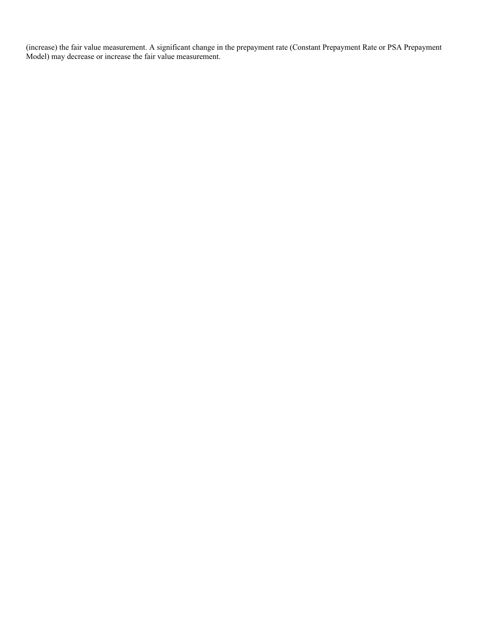(increase) the fair value measurement. A significant change in the prepayment rate (Constant Prepayment Rate or PSA Prepayment Model) may decrease or increase the fair value measurement.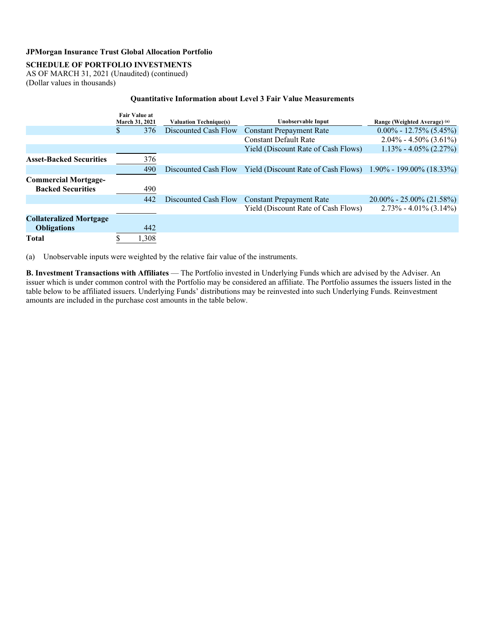## **SCHEDULE OF PORTFOLIO INVESTMENTS**

AS OF MARCH 31, 2021 (Unaudited) (continued) (Dollar values in thousands)

### **Quantitative Information about Level 3 Fair Value Measurements**

|                                | <b>Fair Value at</b><br>March 31, 2021 |       |                      |                                                              | <b>Valuation Technique(s)</b> |  |  | Unobservable Input | Range (Weighted Average) (a) |  |  |  |
|--------------------------------|----------------------------------------|-------|----------------------|--------------------------------------------------------------|-------------------------------|--|--|--------------------|------------------------------|--|--|--|
|                                | \$.                                    | 376   | Discounted Cash Flow | <b>Constant Prepayment Rate</b>                              | $0.00\% - 12.75\% (5.45\%)$   |  |  |                    |                              |  |  |  |
|                                |                                        |       |                      | <b>Constant Default Rate</b>                                 | $2.04\% - 4.50\% (3.61\%)$    |  |  |                    |                              |  |  |  |
|                                |                                        |       |                      | Yield (Discount Rate of Cash Flows)                          | $1.13\% - 4.05\% (2.27\%)$    |  |  |                    |                              |  |  |  |
| <b>Asset-Backed Securities</b> |                                        | 376   |                      |                                                              |                               |  |  |                    |                              |  |  |  |
|                                |                                        | 490   | Discounted Cash Flow | Yield (Discount Rate of Cash Flows) 1.90% - 199.00% (18.33%) |                               |  |  |                    |                              |  |  |  |
| <b>Commercial Mortgage-</b>    |                                        |       |                      |                                                              |                               |  |  |                    |                              |  |  |  |
| <b>Backed Securities</b>       |                                        | 490   |                      |                                                              |                               |  |  |                    |                              |  |  |  |
|                                |                                        | 442   | Discounted Cash Flow | <b>Constant Prepayment Rate</b>                              | $20.00\% - 25.00\%$ (21.58%)  |  |  |                    |                              |  |  |  |
|                                |                                        |       |                      | Yield (Discount Rate of Cash Flows)                          | $2.73\% - 4.01\% (3.14\%)$    |  |  |                    |                              |  |  |  |
| <b>Collateralized Mortgage</b> |                                        |       |                      |                                                              |                               |  |  |                    |                              |  |  |  |
| <b>Obligations</b>             |                                        | 442   |                      |                                                              |                               |  |  |                    |                              |  |  |  |
| <b>Total</b>                   |                                        | 1,308 |                      |                                                              |                               |  |  |                    |                              |  |  |  |

(a) Unobservable inputs were weighted by the relative fair value of the instruments.

**B. Investment Transactions with Affiliates** — The Portfolio invested in Underlying Funds which are advised by the Adviser. An issuer which is under common control with the Portfolio may be considered an affiliate. The Portfolio assumes the issuers listed in the table below to be affiliated issuers. Underlying Funds' distributions may be reinvested into such Underlying Funds. Reinvestment amounts are included in the purchase cost amounts in the table below.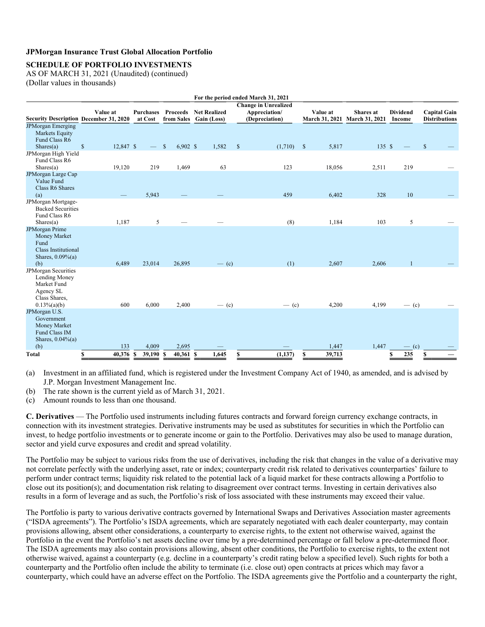### **SCHEDULE OF PORTFOLIO INVESTMENTS**

AS OF MARCH 31, 2021 (Unaudited) (continued) (Dollar values in thousands)

| For the period ended March 31, 2021                                                                        |                           |                             |                            |                                                        |                                                                |                       |                                            |                           |                                             |
|------------------------------------------------------------------------------------------------------------|---------------------------|-----------------------------|----------------------------|--------------------------------------------------------|----------------------------------------------------------------|-----------------------|--------------------------------------------|---------------------------|---------------------------------------------|
| <b>Security Description December 31, 2020</b>                                                              | Value at                  | <b>Purchases</b><br>at Cost |                            | <b>Proceeds</b> Net Realized<br>from Sales Gain (Loss) | <b>Change in Unrealized</b><br>Appreciation/<br>(Depreciation) | Value at              | Shares at<br>March 31, 2021 March 31, 2021 | <b>Dividend</b><br>Income | <b>Capital Gain</b><br><b>Distributions</b> |
| <b>JPMorgan Emerging</b><br><b>Markets Equity</b><br>Fund Class R6<br>Shares(a)                            | $\mathbb{S}$<br>12,847 \$ |                             | $\mathbb{S}$<br>$6,902$ \$ | 1,582                                                  | $\mathcal{S}$<br>(1,710)                                       | $\mathbf{s}$<br>5,817 | 135S                                       |                           | $\mathbf S$                                 |
| JPMorgan High Yield<br>Fund Class R6<br>Shares(a)                                                          | 19,120                    | 219                         | 1,469                      | 63                                                     | 123                                                            | 18,056                | 2,511                                      | 219                       |                                             |
| JPMorgan Large Cap<br>Value Fund<br>Class R6 Shares<br>(a)                                                 |                           | 5,943                       |                            |                                                        | 459                                                            | 6,402                 | 328                                        | 10                        |                                             |
| JPMorgan Mortgage-<br><b>Backed Securities</b><br>Fund Class R6<br>Shares(a)                               | 1,187                     | 5                           |                            |                                                        | (8)                                                            | 1,184                 | 103                                        | 5                         |                                             |
| <b>JPMorgan Prime</b><br>Money Market<br>Fund<br><b>Class Institutional</b><br>Shares, $0.09\%$ (a)<br>(b) | 6,489                     | 23,014                      | 26,895                     | $-$ (c)                                                | (1)                                                            | 2,607                 | 2,606                                      |                           |                                             |
| JPMorgan Securities<br>Lending Money<br>Market Fund<br>Agency SL<br>Class Shares,<br>$0.13\%$ (a)(b)       | 600                       | 6,000                       | 2,400                      | $-$ (c)                                                | $-$ (c)                                                        | 4,200                 | 4,199                                      | $-$ (c)                   |                                             |
| JPMorgan U.S.<br>Government<br>Money Market<br>Fund Class IM<br>Shares, $0.04\%$ (a)                       |                           |                             |                            |                                                        |                                                                |                       |                                            |                           |                                             |
| (b)<br>Total                                                                                               | 133<br>40,376 \$<br>\$    | 4,009<br>39,190 \$          | 2,695<br>$40,361$ \$       | 1,645                                                  | (1, 137)<br>S                                                  | 1,447<br>39,713<br>S  | 1,447                                      | $-$ (c)<br>235<br>\$      | \$                                          |
|                                                                                                            |                           |                             |                            |                                                        |                                                                |                       |                                            |                           |                                             |

(a) Investment in an affiliated fund, which is registered under the Investment Company Act of 1940, as amended, and is advised by J.P. Morgan Investment Management Inc.

(b) The rate shown is the current yield as of March 31, 2021.

(c) Amount rounds to less than one thousand.

**C. Derivatives** — The Portfolio used instruments including futures contracts and forward foreign currency exchange contracts, in connection with its investment strategies. Derivative instruments may be used as substitutes for securities in which the Portfolio can invest, to hedge portfolio investments or to generate income or gain to the Portfolio. Derivatives may also be used to manage duration, sector and yield curve exposures and credit and spread volatility.

The Portfolio may be subject to various risks from the use of derivatives, including the risk that changes in the value of a derivative may not correlate perfectly with the underlying asset, rate or index; counterparty credit risk related to derivatives counterparties' failure to perform under contract terms; liquidity risk related to the potential lack of a liquid market for these contracts allowing a Portfolio to close out its position(s); and documentation risk relating to disagreement over contract terms. Investing in certain derivatives also results in a form of leverage and as such, the Portfolio's risk of loss associated with these instruments may exceed their value.

The Portfolio is party to various derivative contracts governed by International Swaps and Derivatives Association master agreements ("ISDA agreements"). The Portfolio's ISDA agreements, which are separately negotiated with each dealer counterparty, may contain provisions allowing, absent other considerations, a counterparty to exercise rights, to the extent not otherwise waived, against the Portfolio in the event the Portfolio's net assets decline over time by a pre-determined percentage or fall below a pre-determined floor. The ISDA agreements may also contain provisions allowing, absent other conditions, the Portfolio to exercise rights, to the extent not otherwise waived, against a counterparty (e.g. decline in a counterparty's credit rating below a specified level). Such rights for both a counterparty and the Portfolio often include the ability to terminate (i.e. close out) open contracts at prices which may favor a counterparty, which could have an adverse effect on the Portfolio. The ISDA agreements give the Portfolio and a counterparty the right,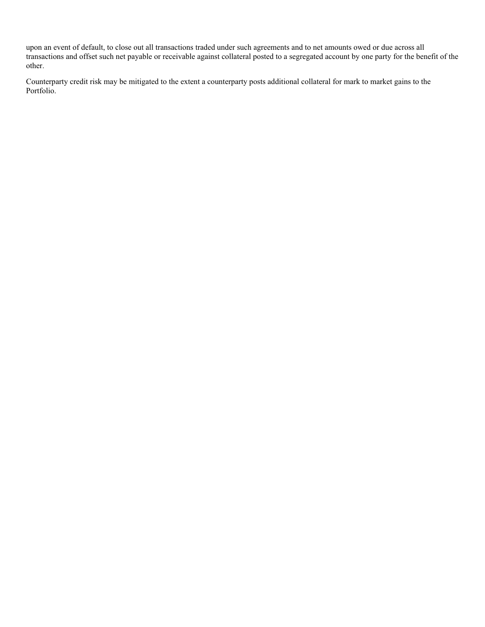upon an event of default, to close out all transactions traded under such agreements and to net amounts owed or due across all transactions and offset such net payable or receivable against collateral posted to a segregated account by one party for the benefit of the other.

Counterparty credit risk may be mitigated to the extent a counterparty posts additional collateral for mark to market gains to the Portfolio.